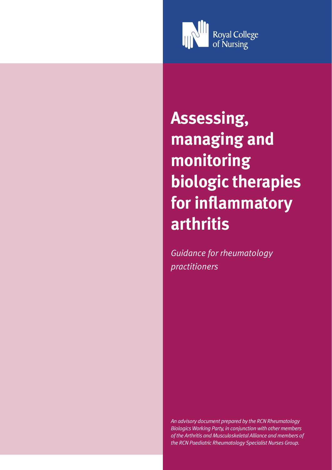

# **Assessing, managing and monitoring biologic therapies for inflammatory arthritis**

*Guidance for rheumatology practitioners*

*An advisory document prepared by the RCN Rheumatology Biologics Working Party, in conjunction with other members of the Arthritis and Musculoskeletal Alliance and members of the RCN Paediatric Rheumatology Specialist Nurses Group.*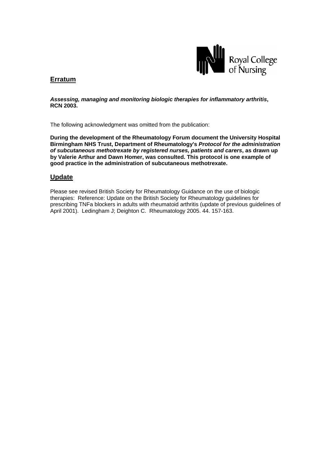

## **Erratum**

## *Assessing, managing and monitoring biologic therapies for inflammatory arthritis***, RCN 2003.**

The following acknowledgment was omitted from the publication:

**During the development of the Rheumatology Forum document the University Hospital Birmingham NHS Trust, Department of Rheumatology's** *Protocol for the administration of subcutaneous methotrexate by registered nurses, patients and carers***, as drawn up by Valerie Arthur and Dawn Homer, was consulted. This protocol is one example of good practice in the administration of subcutaneous methotrexate.** 

## **Update**

Please see revised British Society for Rheumatology Guidance on the use of biologic therapies: Reference: Update on the British Society for Rheumatology guidelines for prescribing TNFa blockers in adults with rheumatoid arthritis (update of previous guidelines of April 2001). Ledingham J; Deighton C. Rheumatology 2005. 44. 157-163.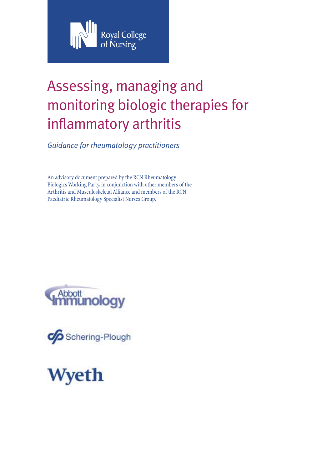

# Assessing, managing and monitoring biologic therapies for inflammatory arthritis

*Guidance for rheumatology practitioners*

An advisory document prepared by the RCN Rheumatology Biologics Working Party, in conjunction with other members of the Arthritis and Musculoskeletal Alliance and members of the RCN Paediatric Rheumatology Specialist Nurses Group.





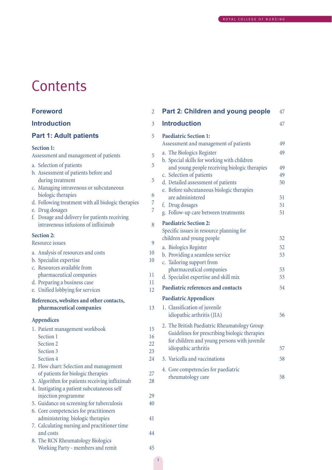# **Contents**

| <b>Foreword</b>                                               | $\overline{2}$ | Part 2: Children and young people                                     | 47 |
|---------------------------------------------------------------|----------------|-----------------------------------------------------------------------|----|
| <b>Introduction</b>                                           | $\overline{3}$ | <b>Introduction</b>                                                   | 47 |
| <b>Part 1: Adult patients</b>                                 | 5              | <b>Paediatric Section 1:</b><br>Assessment and management of patients | 49 |
| <b>Section 1:</b>                                             |                | a. The Biologics Register                                             | 49 |
| Assessment and management of patients                         | 5              | b. Special skills for working with children                           |    |
| a. Selection of patients                                      | 5              | and young people receiving biologic therapies                         | 49 |
| b. Assessment of patients before and                          |                | c. Selection of patients                                              | 49 |
| during treatment                                              | 5              | d. Detailed assessment of patients                                    | 50 |
| c. Managing intravenous or subcutaneous<br>biologic therapies | 6              | e. Before subcutaneous biologic therapies                             |    |
| d. Following treatment with all biologic therapies            | $\overline{7}$ | are administered                                                      | 51 |
| e. Drug dosages                                               | $\overline{7}$ | f. Drug dosages                                                       | 51 |
| f. Dosage and delivery for patients receiving                 |                | g. Follow-up care between treatments                                  | 51 |
| intravenous infusions of infliximab                           | 8              | <b>Paediatric Section 2:</b>                                          |    |
| Section 2:                                                    |                | Specific issues in resource planning for                              |    |
| Resource issues                                               | 9              | children and young people                                             | 52 |
|                                                               |                | a. Biologics Register                                                 | 52 |
| a. Analysis of resources and costs                            | 10             | b. Providing a seamless service                                       | 53 |
| b. Specialist expertise<br>c. Resources available from        | 10             | c. Tailoring support from                                             |    |
| pharmaceutical companies                                      | 11             | pharmaceutical companies                                              | 53 |
| d. Preparing a business case                                  | 11             | d. Specialist expertise and skill mix                                 | 53 |
| e. Unified lobbying for services                              | 12             | Paediatric references and contacts                                    | 54 |
| References, websites and other contacts,                      |                | <b>Paediatric Appendices</b>                                          |    |
| pharmaceutical companies                                      | 13             | 1. Classification of juvenile                                         |    |
|                                                               |                | idiopathic arthritis (JIA)                                            | 56 |
| <b>Appendices</b>                                             |                | 2. The British Paediatric Rheumatology Group                          |    |
| 1. Patient management workbook                                | 15             | Guidelines for prescribing biologic therapies                         |    |
| Section 1                                                     | 16             | for children and young persons with juvenile                          |    |
| Section 2<br>Section 3                                        | 22<br>23       | idiopathic arthritis                                                  | 57 |
| Section 4                                                     | 24             | 3. Varicella and vaccinations                                         | 58 |
| 2. Flow chart: Selection and management                       |                |                                                                       |    |
| of patients for biologic therapies                            | 27             | 4. Core competencies for paediatric                                   |    |
| 3. Algorithm for patients receiving infliximab                | 28             | rheumatology care                                                     | 58 |
| 4. Instigating a patient subcutaneous self                    |                |                                                                       |    |
| injection programme                                           | 29             |                                                                       |    |
| 5. Guidance on screening for tuberculosis                     | 40             |                                                                       |    |
| 6. Core competencies for practitioners                        |                |                                                                       |    |
| administering biologic therapies                              | 41             |                                                                       |    |
| 7. Calculating nursing and practitioner time                  |                |                                                                       |    |
| and costs                                                     | 44             |                                                                       |    |
| 8. The RCN Rheumatology Biologics                             |                |                                                                       |    |
| Working Party - members and remit                             | 45             |                                                                       |    |

**1**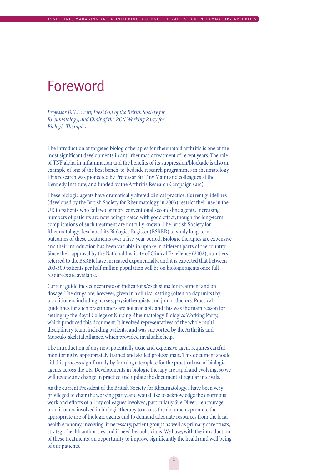# Foreword

*Professor D.G.I. Scott, President of the British Society for Rheumatology, and Chair of the RCN Working Party for Biologic Therapies*

The introduction of targeted biologic therapies for rheumatoid arthritis is one of the most significant developments in anti-rheumatic treatment of recent years. The role of TNF alpha in inflammation and the benefits of its suppression/blockade is also an example of one of the best bench-to-bedside research programmes in rheumatology. This research was pioneered by Professor Sir Tiny Maini and colleagues at the Kennedy Institute, and funded by the Arthritis Research Campaign (arc).

ASSESSING, MANAGING AND MONITORING BIOLOGIC THERAPIES FOR INFLAMMATORY ARTHRITIS

These biologic agents have dramatically altered clinical practice. Current guidelines (developed by the British Society for Rheumatology in 2003) restrict their use in the UK to patients who fail two or more conventional second-line agents. Increasing numbers of patients are now being treated with good effect, though the long-term complications of such treatment are not fully known. The British Society for Rheumatology developed its Biologics Register (BSRBR) to study long-term outcomes of these treatments over a five-year period. Biologic therapies are expensive and their introduction has been variable in uptake in different parts of the country. Since their approval by the National Institute of Clinical Excellence (2002), numbers referred to the BSRBR have increased exponentially, and it is expected that between 200-300 patients per half million population will be on biologic agents once full resources are available.

Current guidelines concentrate on indications/exclusions for treatment and on dosage. The drugs are, however, given in a clinical setting (often on day units) by practitioners including nurses, physiotherapists and junior doctors. Practical guidelines for such practitioners are not available and this was the main reason for setting up the Royal College of Nursing Rheumatology Biologics Working Party, which produced this document. It involved representatives of the whole multidisciplinary team, including patients, and was supported by the Arthritis and Musculo-skeletal Alliance, which provided invaluable help.

The introduction of any new, potentially toxic and expensive agent requires careful monitoring by appropriately trained and skilled professionals. This document should aid this process significantly by forming a template for the practical use of biologic agents across the UK. Developments in biologic therapy are rapid and evolving, so we will review any change in practice and update the document at regular intervals.

As the current President of the British Society for Rheumatology, I have been very privileged to chair the working party, and would like to acknowledge the enormous work and efforts of all my colleagues involved, particularly Sue Oliver. I encourage practitioners involved in biologic therapy to access the document, promote the appropriate use of biologic agents and to demand adequate resources from the local health economy, involving, if necessary, patient groups as well as primary care trusts, strategic health authorities and if need be, politicians. We have, with the introduction of these treatments, an opportunity to improve significantly the health and well being of our patients.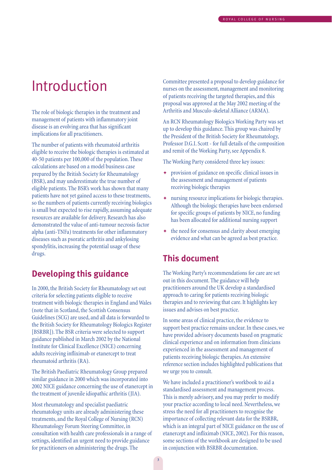# Introduction

The role of biologic therapies in the treatment and management of patients with inflammatory joint disease is an evolving area that has significant implications for all practitioners.

The number of patients with rheumatoid arthritis eligible to receive the biologic therapies is estimated at 40-50 patients per 100,000 of the population. These calculations are based on a model business case prepared by the British Society for Rheumatology (BSR), and may underestimate the true number of eligible patients. The BSR's work has shown that many patients have not yet gained access to these treatments, so the numbers of patients currently receiving biologics is small but expected to rise rapidly, assuming adequate resources are available for delivery. Research has also demonstrated the value of anti-tumour necrosis factor alpha (anti-TNFa) treatments for other inflammatory diseases such as psoratic arthritis and ankylosing spondylitis, increasing the potential usage of these drugs.

# **Developing this guidance**

In 2000, the British Society for Rheumatology set out criteria for selecting patients eligible to receive treatment with biologic therapies in England and Wales (note that in Scotland, the Scottish Consensus Guidelines (SCG) are used, and all data is forwarded to the British Society for Rheumatology Biologics Register [BSRBR]). The BSR criteria were selected to support guidance published in March 2002 by the National Institute for Clinical Excellence (NICE) concerning adults receiving infliximab or etanercept to treat rheumatoid arthritis (RA).

The British Paediatric Rheumatology Group prepared similar guidance in 2000 which was incorporated into 2002 NICE guidance concerning the use of etanercept in the treatment of juvenile idiopathic arthritis (JIA).

Most rheumatology and specialist paediatric rheumatology units are already administering these treatments, and the Royal College of Nursing (RCN) Rheumatology Forum Steering Committee, in consultation with health care professionals in a range of settings, identified an urgent need to provide guidance for practitioners on administering the drugs. The

Committee presented a proposal to develop guidance for nurses on the assessment, management and monitoring of patients receiving the targeted therapies, and this proposal was approved at the May 2002 meeting of the Arthritis and Musculo-skeletal Alliance (ARMA).

An RCN Rheumatology Biologics Working Party was set up to develop this guidance. This group was chaired by the President of the British Society for Rheumatology, Professor D.G.I. Scott - for full details of the composition and remit of the Working Party, see Appendix 8.

The Working Party considered three key issues:

- ✦ provision of guidance on specific clinical issues in the assessment and management of patients receiving biologic therapies
- nursing resource implications for biologic therapies. Although the biologic therapies have been endorsed for specific groups of patients by NICE, no funding has been allocated for additional nursing support
- ✦ the need for consensus and clarity about emerging evidence and what can be agreed as best practice.

## **This document**

The Working Party's recommendations for care are set out in this document. The guidance will help practitioners around the UK develop a standardised approach to caring for patients receiving biologic therapies and to reviewing that care. It highlights key issues and advises on best practice.

In some areas of clinical practice, the evidence to support best practice remains unclear. In these cases, we have provided advisory documents based on pragmatic clinical experience and on information from clinicians experienced in the assessment and management of patients receiving biologic therapies. An extensive reference section includes highlighted publications that we urge you to consult.

We have included a practitioner's workbook to aid a standardised assessment and management process. This is merely advisory, and you may prefer to modify your practice according to local need. Nevertheless, we stress the need for all practitioners to recognise the importance of collecting relevant data for the BSRBR, which is an integral part of NICE guidance on the use of etanercept and infliximab (NICE, 2002). For this reason, some sections of the workbook are designed to be used in conjunction with BSRBR documentation.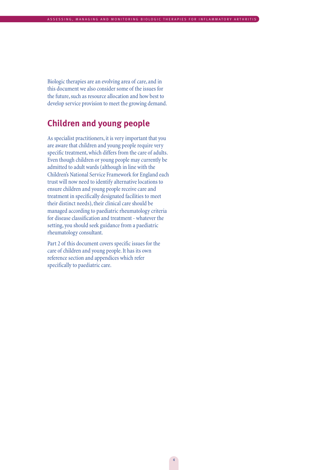Biologic therapies are an evolving area of care, and in this document we also consider some of the issues for the future, such as resource allocation and how best to develop service provision to meet the growing demand.

ASSESSING, MANAGING AND MONITORING BIOLOGIC THERAPIES FOR INFLAMMATORY ARTHRITIS

# **Children and young people**

As specialist practitioners, it is very important that you are aware that children and young people require very specific treatment, which differs from the care of adults. Even though children or young people may currently be admitted to adult wards (although in line with the Children's National Service Framework for England each trust will now need to identify alternative locations to ensure children and young people receive care and treatment in specifically designated facilities to meet their distinct needs), their clinical care should be managed according to paediatric rheumatology criteria for disease classification and treatment - whatever the setting, you should seek guidance from a paediatric rheumatology consultant.

Part 2 of this document covers specific issues for the care of children and young people. It has its own reference section and appendices which refer specifically to paediatric care.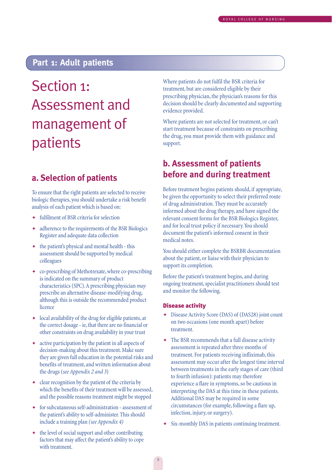## **Part 1: Adult patients**

# Section 1: Assessment and management of patients

# **a. Selection of patients**

To ensure that the right patients are selected to receive biologic therapies, you should undertake a risk benefit analysis of each patient which is based on:

- ✦ fulfilment of BSR criteria for selection
- ✦ adherence to the requirements of the BSR Biologics Register and adequate data collection
- $\triangleleft$  the patient's physical and mental health this assessment should be supported by medical colleagues
- ✦ co-prescribing of Methotrexate, where co-prescribing is indicated on the summary of product characteristics (SPC).A prescribing physician *may* prescribe an alternative disease-modifying drug, although this is outside the recommended product licence
- ✦ local availability of the drug for eligible patients, at the correct dosage - ie, that there are no financial or other constraints on drug availability in your trust
- ✦ active participation by the patient in all aspects of decision-making about this treatment. Make sure they are given full education in the potential risks and benefits of treatment, and written information about the drugs (*see Appendix 2 and 3*)
- ✦ clear recognition by the patient of the criteria by which the benefits of their treatment will be assessed, and the possible reasons treatment might be stopped
- ✦ for subcutaneous self-administration assessment of the patient's ability to self-administer. This should include a training plan *(see Appendix 4)*
- ✦ the level of social support and other contributing factors that may affect the patient's ability to cope with treatment.

Where patients do not fulfil the BSR criteria for treatment, but are considered eligible by their prescribing physician, the physician's reasons for this decision should be clearly documented and supporting evidence provided.

Where patients are not selected for treatment, or can't start treatment because of constraints on prescribing the drug, you must provide them with guidance and support.

# **b. Assessment of patients before and during treatment**

Before treatment begins patients should, if appropriate, be given the opportunity to select their preferred route of drug administration. They must be accurately informed about the drug therapy, and have signed the relevant consent forms for the BSR Biologics Register, and for local trust policy if necessary.You should document the patient's informed consent in their medical notes.

You should either complete the BSRBR documentation about the patient, or liaise with their physician to support its completion.

Before the patient's treatment begins, and during ongoing treatment, specialist practitioners should test and monitor the following.

## Disease activity

- ✦ Disease Activity Score (DAS) of (DAS28) joint count on two occasions (one month apart) before treatment.
- ✦ The BSR recommends that a full disease activity assessment is repeated after three months of treatment. For patients receiving infliximab, this assessment may occur after the longest time interval between treatments in the early stages of care (third to fourth infusion): patients may therefore experience a flare in symptoms, so be cautious in interpreting the DAS at this time in these patients. Additional DAS may be required in some circumstances (for example, following a flare up, infection, injury, or surgery).
- ✦ Six-monthly DAS in patients continuing treatment.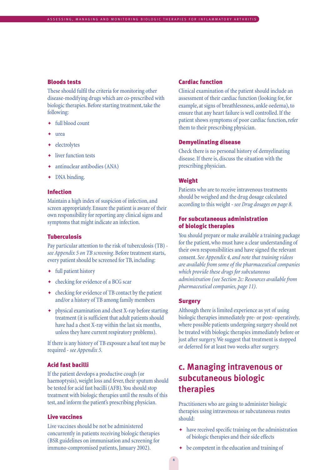These should fulfil the criteria for monitoring other disease-modifying drugs which are co-prescribed with biologic therapies. Before starting treatment, take the following:

- ✦ full blood count
- ✦ urea
- ✦ electrolytes
- liver function tests
- antinuclear antibodies (ANA)
- DNA binding.

## Infection

Maintain a high index of suspicion of infection, and screen appropriately. Ensure the patient is aware of their own responsibility for reporting any clinical signs and symptoms that might indicate an infection.

## **Tuberculosis**

Pay particular attention to the risk of tuberculosis (TB) *see Appendix 5 on TB screening*. Before treatment starts, every patient should be screened for TB, including:

- ✦ full patient history
- checking for evidence of a BCG scar
- ✦ checking for evidence of TB contact by the patient and/or a history of TB among family members
- ✦ physical examination and chest X-ray before starting treatment (it is sufficient that adult patients should have had a chest X-ray within the last six months, unless they have current respiratory problems).

If there is any history of TB exposure a heaf test may be required - *see Appendix 5*.

## Acid fast bacilli

If the patient develops a productive cough (or haemoptysis), weight loss and fever, their sputum should be tested for acid fast bacilli (AFB). You should stop treatment with biologic therapies until the results of this test, and inform the patient's prescribing physician.

## Live vaccines

Live vaccines should be not be administered concurrently in patients receiving biologic therapies (BSR guidelines on immunisation and screening for immuno-compromised patients, January 2002).

## Cardiac function

ASSESSING, MANAGING AND MONITORING BIOLOGIC THERAPIES FOR INFLAMMATORY ARTHRITIS

Clinical examination of the patient should include an assessment of their cardiac function (looking for, for example, at signs of breathlessness, ankle oedema), to ensure that any heart failure is well controlled. If the patient shows symptoms of poor cardiac function, refer them to their prescribing physician.

## Demyelinating disease

Check there is no personal history of demyelinating disease. If there is, discuss the situation with the prescribing physician.

## Weight

Patients who are to receive intravenous treatments should be weighed and the drug dosage calculated according to this weight - *see Drug dosages on page 8*.

## For subcutaneous administration of biologic therapies

You should prepare or make available a training package for the patient, who must have a clear understanding of their own responsibilities and have signed the relevant consent. *See Appendix 4, and note that training videos are available from some of the pharmaceutical companies which provide these drugs for subcutaneous administration (see Section 2c: Resources available from pharmaceutical companies, page 11)*.

## **Surgery**

Although there is limited experience as yet of using biologic therapies immediately pre- or post- operatively, where possible patients undergoing surgery should not be treated with biologic therapies immediately before or just after surgery. We suggest that treatment is stopped or deferred for at least two weeks after surgery.

# **c. Managing intravenous or subcutaneous biologic therapies**

Practitioners who are going to administer biologic therapies using intravenous or subcutaneous routes should:

- ✦ have received specific training on the administration of biologic therapies and their side effects
- ✦ be competent in the education and training of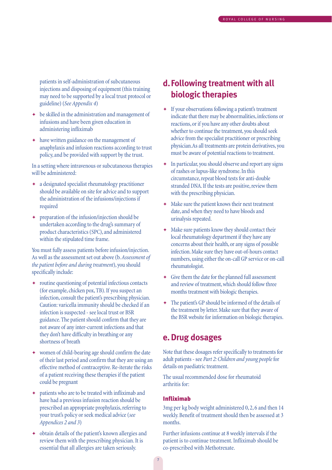patients in self-administration of subcutaneous injections and disposing of equipment (this training may need to be supported by a local trust protocol or guideline) (*See Appendix 4*)

- ✦ be skilled in the administration and management of infusions and have been given education in administering infliximab
- ✦ have written guidance on the management of anaphylaxis and infusion reactions according to trust policy, and be provided with support by the trust.

In a setting where intravenous or subcutaneous therapies will be administered:

- ✦ a designated specialist rheumatology practitioner should be available on site for advice and to support the administration of the infusions/injections if required
- ✦ preparation of the infusion/injection should be undertaken according to the drug's summary of product characteristics (SPC), and administered within the stipulated time frame.

You must fully assess patients before infusion/injection. As well as the assessment set out above (b.*Assessment of the patient before and during treatment*), you should specifically include:

- ✦ routine questioning of potential infectious contacts (for example, chicken pox, TB). If you suspect an infection, consult the patient's prescribing physician. Caution: varicella immunity should be checked if an infection is suspected - see local trust or BSR guidance. The patient should confirm that they are not aware of any inter-current infections and that they don't have difficulty in breathing or any shortness of breath
- ✦ women of child-bearing age should confirm the date of their last period and confirm that they are using an effective method of contraceptive. Re-iterate the risks of a patient receiving these therapies if the patient could be pregnant
- patients who are to be treated with infliximab and have had a previous infusion reaction should be prescribed an appropriate prophylaxis, referring to your trust's policy or seek medical advice (*see Appendices 2 and 3*)
- ✦ obtain details of the patient's known allergies and review them with the prescribing physician. It is essential that all allergies are taken seriously.

# **d.Following treatment with all biologic therapies**

- ✦ If your observations following a patient's treatment indicate that there may be abnormalities, infections or reactions, or if you have any other doubts about whether to continue the treatment, you should seek advice from the specialist practitioner or prescribing physician.As all treatments are protein derivatives, you must be aware of potential reactions to treatment.
- In particular, you should observe and report any signs of rashes or lupus-like syndrome. In this circumstance, repeat blood tests for anti-double stranded DNA. If the tests are positive, review them with the prescribing physician.
- ✦ Make sure the patient knows their next treatment date, and when they need to have bloods and urinalysis repeated.
- Make sure patients know they should contact their local rheumatology department if they have any concerns about their health, or any signs of possible infection. Make sure they have out-of-hours contact numbers, using either the on-call GP service or on-call rheumatologist.
- ✦ Give them the date for the planned full assessment and review of treatment, which should follow three months treatment with biologic therapies.
- ✦ The patient's GP should be informed of the details of the treatment by letter. Make sure that they aware of the BSR website for information on biologic therapies.

## **e. Drug dosages**

Note that these dosages refer specifically to treatments for adult patients - see *Part 2: Children and young people*for details on paediatric treatment.

The usual recommended dose for rheumatoid arthritis for:

## Infliximab

3mg per kg body weight administered 0, 2, 6 and then 14 weekly. Benefit of treatment should then be assessed at 3 months.

Further infusions continue at 8 weekly intervals if the patient is to continue treatment. Infliximab should be co-prescribed with Methotrexate.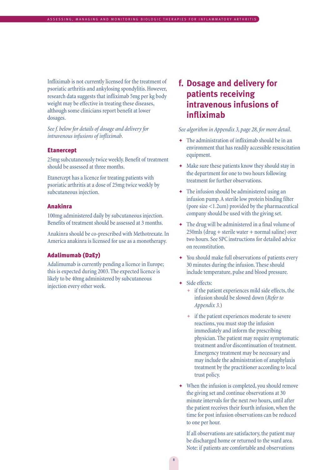Infliximab is not currently licensed for the treatment of psoriatic arthritis and ankylosing spondylitis. However, research data suggests that infliximab 5mg per kg body weight may be effective in treating these diseases, although some clinicians report benefit at lower dosages.

ASSESSING, MANAGING AND MONITORING BIOLOGIC THERAPIES FOR INFLAMMATORY ARTHRITIS

*See f. below for details of dosage and delivery for intravenous infusions of infliximab*.

## Etanercept

25mg subcutaneously twice weekly. Benefit of treatment should be assessed at three months.

Etanercept has a licence for treating patients with psoriatic arthritis at a dose of 25mg twice weekly by subcutaneous injection.

## Anakinra

100mg administered daily by subcutaneous injection. Benefits of treatment should be assessed at 3 months.

Anakinra should be co-prescribed with Methotrexate. In America anakinra is licensed for use as a monotherapy.

## Adalimumab (D2E7)

Adalimumab is currently pending a licence in Europe; this is expected during 2003. The expected licence is likely to be 40mg administered by subcutaneous injection every other week.

# **f. Dosage and delivery for patients receiving intravenous infusions of infliximab**

*See algorithm in Appendix 3, page 28, for more detail*.

- $\triangle$  The administration of infliximab should be in an environment that has readily accessible resuscitation equipment.
- ✦ Make sure these patients know they should stay in the department for one to two hours following treatment for further observations.
- ✦ The infusion should be administered using an infusion pump. A sterile low protein binding filter (pore size <1.2um) provided by the pharmaceutical company should be used with the giving set.
- ✦ The drug will be administered in a final volume of 250mls (drug + sterile water + normal saline) over two hours. See SPC instructions for detailed advice on reconstitution.
- ✦ You should make full observations of patients every 30 minutes during the infusion. These should include temperature, pulse and blood pressure.
- ✦ Side effects:
	- ✦ if the patient experiences mild side effects, the infusion should be slowed down (*Refer to Appendix 3.*)
	- ✦ if the patient experiences moderate to severe reactions, you must stop the infusion immediately and inform the prescribing physician. The patient may require symptomatic treatment and/or discontinuation of treatment. Emergency treatment may be necessary and may include the administration of anaphylaxis treatment by the practitioner according to local trust policy.
- ✦ When the infusion is completed, you should remove the giving set and continue observations at 30 minute intervals for the next *two* hours, until after the patient receives their fourth infusion, when the time for post infusion observations can be reduced to one per hour.

If all observations are satisfactory, the patient may be discharged home or returned to the ward area. Note: if patients are comfortable and observations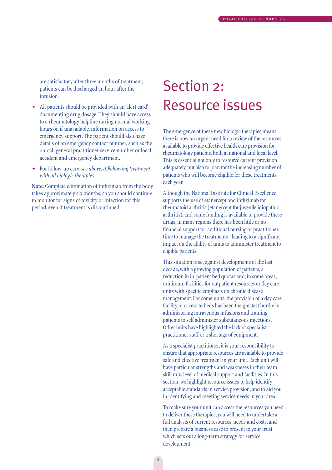are satisfactory after three months of treatment, patients can be discharged an hour after the infusion.

- ✦ All patients should be provided with an 'alert card', documenting drug dosage. They should have access to a rheumatology helpline during normal working hours or, if unavailable, information on access to emergency support. The patient should also have details of an emergency contact number, such as the on-call general practitioner service number or local accident and emergency department.
- ✦ For follow-up care,*see above, d.Following treatment with all biologic therapies*.

**Note:** Complete elimination of infliximab from the body takes approximately six months, so you should continue to monitor for signs of toxicity or infection for this period, even if treatment is discontinued.

# Section 2: Resource issues

The emergence of these new biologic therapies means there is now an urgent need for a review of the resources available to provide effective health care provision for rheumatology patients, both at national and local level. This is essential not only to resource current provision adequately, but also to plan for the increasing number of patients who will become eligible for these treatments each year.

Although the National Institute for Clinical Excellence supports the use of etanercept and infliximab for rheumatoid arthritis (etanercept for juvenile idiopathic arthritis), and some funding is available to provide these drugs, in many regions there has been little or no financial support for additional nursing or practitioner time to manage the treatments - leading to a significant impact on the ability of units to administer treatment to eligible patients.

This situation is set against developments of the last decade, with a growing population of patients, a reduction in in-patient bed quotas and, in some areas, minimum facilities for outpatient resources or day care units with specific emphasis on chronic disease management. For some units, the provision of a day care facility or access to beds has been the greatest hurdle in administering intravenous infusions and training patients to self administer subcutaneous injections. Other units have highlighted the lack of specialist practitioner staff or a shortage of equipment.

As a specialist practitioner, it is your responsibility to ensure that appropriate resources are available to provide safe and effective treatment in your unit. Each unit will have particular strengths and weakneses in their team skill mix, level of medical support and facilities. In this section, we highlight resource issues to help identify acceptable standards in service provision, and to aid you in identifying and meeting service needs in your area.

To make sure your unit can access the resources you need to deliver these therapies, you will need to undertake a full analysis of current resources, needs and costs, and then prepare a business case to present to your trust which sets out a long-term strategy for service development.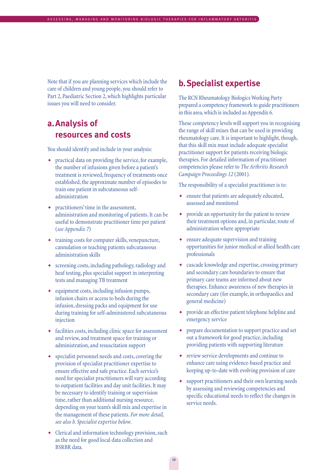Note that if you are planning services which include the care of children and young people, you should refer to Part 2, Paediatric Section 2, which highlights particular issues you will need to consider.

# **a.Analysis of resources and costs**

You should identify and include in your analysis:

- ✦ practical data on providing the service, for example, the number of infusions given before a patient's treatment is reviewed, frequency of treatments once established, the approximate number of episodes to train one patient in subcutaneous selfadministration
- ✦ practitioners' time in the assessment, administration and monitoring of patients. It can be useful to demonstrate practitioner time per patient (*see Appendix 7*)
- ✦ training costs for computer skills, venepuncture, cannulation or teaching patients subcutaneous administration skills
- ✦ screening costs, including pathology, radiology and heaf testing, plus specialist support in interpreting tests and managing TB treatment
- ✦ equipment costs, including infusion pumps, infusion chairs or access to beds during the infusion, dressing packs and equipment for use during training for self-administered subcutaneous injection
- ✦ facilities costs, including clinic space for assessment and review, and treatment space for training or administration, and resuscitation support
- ✦ specialist personnel needs and costs, covering the provision of specialist practitioner expertise to ensure effective and safe practice. Each service's need for specialist practitioners will vary according to outpatient facilities and day unit facilities. It may be necessary to identify training or supervision time, rather than additional nursing resource, depending on your team's skill mix and expertise in the management of these patients. *For more detail, see also b. Specialist expertise below*.
- ✦ Clerical and information technology provision, such as the need for good local data collection and BSRBR data.

## **b.Specialist expertise**

The RCN Rheumatology Biologics Working Party prepared a competency framework to guide practitioners in this area, which is included as Appendix 6.

These competency levels will support you in recognising the range of skill mixes that can be used in providing rheumatology care. It is important to highlight, though, that this skill mix must include adequate specialist practitioner support for patients receiving biologic therapies. For detailed information of practitioner competencies please refer to *The Arthritis Research Campaign Proceedings 12* (2001).

The responsibility of a specialist practitioner is to:

- ✦ ensure that patients are adequately educated, assessed and monitored
- ✦ provide an opportunity for the patient to review their treatment options and, in particular, route of administration where appropriate
- ✦ ensure adequate supervision and training opportunities for junior medical or allied health care professionals
- ✦ cascade knowledge and expertise, crossing primary and secondary care boundaries to ensure that primary care teams are informed about new therapies. Enhance awareness of new therapies in secondary care (for example, in orthopaedics and general medicine)
- ✦ provide an effective patient telephone helpline and emergency service
- ✦ prepare documentation to support practice and set out a framework for good practice, including providing patients with supporting literature
- ✦ review service developments and continue to enhance care using evidence-based practice and keeping up-to-date with evolving provision of care
- ✦ support practitioners and their own learning needs by assessing and reviewing competencies and specific educational needs to reflect the changes in service needs.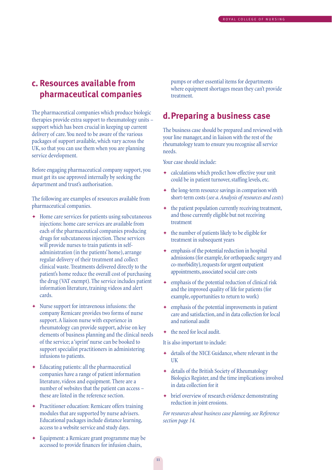# **c. Resources available from pharmaceutical companies**

The pharmaceutical companies which produce biologic therapies provide extra support to rheumatology units – support which has been crucial in keeping up current delivery of care. You need to be aware of the various packages of support available, which vary across the UK, so that you can use them when you are planning service development.

Before engaging pharmaceutical company support, you must get its use approved internally by seeking the department and trust's authorisation.

The following are examples of resources available from pharmaceutical companies.

- ✦ Home care services for patients using subcutaneous injections: home care services are available from each of the pharmaceutical companies producing drugs for subcutaneous injection. These services will provide nurses to train patients in selfadministration (in the patients' home), arrange regular delivery of their treatment and collect clinical waste. Treatments delivered directly to the patient's home reduce the overall cost of purchasing the drug (VAT exempt). The service includes patient information literature, training videos and alert cards.
- ✦ Nurse support for intravenous infusions: the company Remicare provides two forms of nurse support. A liaison nurse with experience in rheumatology can provide support, advise on key elements of business planning and the clinical needs of the service; a 'sprint' nurse can be booked to support specialist practitioners in administering infusions to patients.
- ✦ Educating patients: all the pharmaceutical companies have a range of patient information literature, videos and equipment. There are a number of websites that the patient can access – these are listed in the reference section.
- Practitioner education: Remicare offers training modules that are supported by nurse advisers. Educational packages include distance learning, access to a website service and study days.
- Equipment: a Remicare grant programme may be accessed to provide finances for infusion chairs,

pumps or other essential items for departments where equipment shortages mean they can't provide treatment.

## **d.Preparing a business case**

The business case should be prepared and reviewed with your line manager, and in liaison with the rest of the rheumatology team to ensure you recognise all service needs.

Your case should include:

- ✦ calculations which predict how effective your unit could be in patient turnover, staffing levels, etc.
- $\triangleleft$  the long-term resource savings in comparison with short-term costs (*see a. Analysis of resources and costs*)
- ✦ the patient population currently receiving treatment, and those currently eligible but not receiving treatment
- the number of patients likely to be eligible for treatment in subsequent years
- ✦ emphasis of the potential reduction in hospital admissions (for example, for orthopaedic surgery and co-morbidity), requests for urgent outpatient appointments, associated social care costs
- ✦ emphasis of the potential reduction of clinical risk and the improved quality of life for patients (for example, opportunities to return to work)
- ✦ emphasis of the potential improvements in patient care and satisfaction, and in data collection for local and national audit
- the need for local audit.

It is also important to include:

- details of the NICE Guidance, where relevant in the UK
- details of the British Society of Rheumatology Biologics Register, and the time implications involved in data collection for it
- ✦ brief overview of research evidence demonstrating reduction in joint erosions.

*For resources about business case planning, see Reference section page 14.*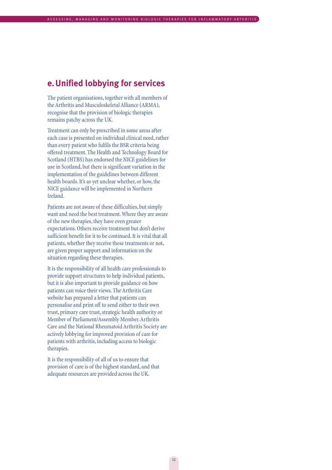## **e.Unified lobbying for services**

The patient organisations, together with all members of the Arthritis and Musculoskeletal Alliance (ARMA), recognise that the provision of biologic therapies remains patchy across the UK.

Treatment can only be prescribed in some areas after each case is presented on individual clinical need, rather than every patient who fulfils the BSR criteria being offered treatment. The Health and Technology Board for Scotland (HTBS) has endorsed the NICE guidelines for use in Scotland, but there is significant variation in the implementation of the guidelines between different health boards. It's as yet unclear whether, or how, the NICE guidance will be implemented in Northern Ireland.

Patients are not aware of these difficulties, but simply want and need the best treatment. Where they are aware of the new therapies, they have even greater expectations. Others receive treatment but don't derive sufficient benefit for it to be continued. It is vital that all patients, whether they receive these treatments or not, are given proper support and information on the situation regarding these therapies.

It is the responsibility of all health care professionals to provide support structures to help individual patients, but it is also important to provide guidance on how patients can voice their views. The Arthritis Care website has prepared a letter that patients can personalise and print off to send either to their own trust, primary care trust, strategic health authority or Member of Parliament/Assembly Member. Arthritis Care and the National Rheumatoid Arthritis Society are actively lobbying for improved provision of care for patients with arthritis, including access to biologic therapies.

It is the responsibility of all of us to ensure that provision of care is of the highest standard, and that adequate resources are provided across the UK.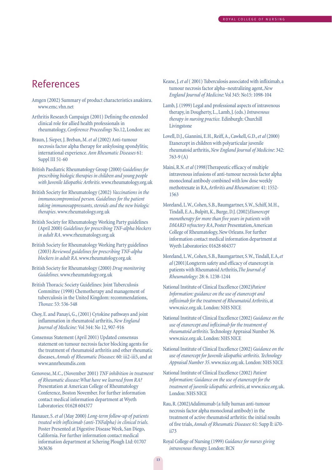# References

Amgen (2002) Summary of product characteristics anakinra. www.emc.vhn.net

Arthritis Research Campaign (2001) Defining the extended clinical role for allied health professionals in rheumatology, *Conference Proceedings* No.12, London: arc

Braun, J. Sieper, J. Breban, M.*et al* (2002) Anti-tumour necrosis factor alpha therapy for ankylosing spondylitis; international experience.*Ann Rheumatic Diseases* 61: Suppl III 51-60

British Paediatric Rheumatology Group (2000) *Guidelines for prescribing biologic therapies in children and young people with Juvenile Idiopathic Arthritis*. www.rheumatology.org.uk

British Society for Rheumatology (2002) *Vaccinations in the immunocompromised person. Guidelines for the patient taking immunosuppressants, steroids and the new biologic therapies*. www.rheumatology.org.uk

British Society for Rheumatology Working Party guidelines (April 2000) *Guidelines for prescribing TNF-alpha blockers in adult RA*. www.rheumatology.org.uk

British Society for Rheumatology Working Party guidelines (2003) *Reviewed guidelines for prescribing TNF-alpha blockers in adult RA*. www.rheumatology.org.uk

British Society for Rheumatology (2000) *Drug monitoring Guidelines*. www.rheumatology.org.uk

British Thoracic Society Guidelines: Joint Tuberculosis Committee (1998) Chemotherapy and management of tuberculosis in the United Kingdom: recommendations, *Thorax*: 53: 536-548

Choy, E. and Panayi, G., (2001) Cytokine pathways and joint inflammation in rheumatoid arthritis,*New England Journal of Medicine:* Vol 344: No 12, 907-916

Consensus Statement (April 2001) Updated consensus statement on tumour necrosis factor blocking agents for the treatment of rheumatoid arthritis and other rheumatic diseases,*Annals of Rheumatic Diseases*: 60: iii2-iii5, and at www.annrheumdis.com

Genovese, M.C., (November 2001) *TNF inhibition in treatment of Rheumatic disease:What have we learned from RA?* Presentation at American College of Rheumatology Conference, Boston November. For further information contact medical information department at Wyeth Laboratories: 01628 604377

Hanauer, S.*et al* (May 2000) *Long-term follow-up of patients treated with infliximab (anti-TNFalpha) in clinical trials.* Poster Presented at Digestive Disease Week, San Diego, California. For further information contact medical information department at Schering Plough Ltd: 01707 363636

Keane, J.*et al* ( 2001) Tuberculosis associated with infliximab, a tumour necrosis factor alpha–neutralizing agent,*New England Journal of Medicine*: Vol 345: No15: 1098-104

Lamb, J. (1999) Legal and professional aspects of intravenous therapy, in Dougherty, L., Lamb, J. (eds.) *Intravenous therapy in nursing practice.* Edinburgh: Churchill Livingstone

Lovell, D.J., Giannini, E.H., Reiff,A., Cawkell, G.D.,*et al* (2000) Etanercept in children with polyarticular juvenile rheumatoid arthritis,*New England Journal of Medicine*: 342: 763-9 (A)

Maini, R.N.*et al* (1998)Therapeutic efficacy of multiple intravenous infusions of anti-tumour necrosis factor alpha monoclonal antibody combined with low dose weekly methotrexate in RA,*Arthritis and Rheumatism*: 41: 1552- 1563

Moreland, L.W., Cohen, S.B., Baumgartner, S.W., Schiff, M.H., Tindall, E.A., Bulpitt, K., Burge, D.J. (2002)*Etanercept monotherapy for more than five years in patients with DMARD refractory RA*, Poster Presentation,American College of Rheumatology, New Orleans. For further information contact medical information department at Wyeth Laboratories: 01628 604377

Moreland, L.W., Cohen, S.B., Baumgartner, S.W., Tindall, E.A,*et al* (2001)Longterm safety and efficacy of etanercept in patients with Rheumatoid Arthritis,*The Journal of Rheumatology*: 28: 6. 1238-1244

National Institute of Clinical Excellence (2002)*Patient Information: guidance on the use of etanercept and infliximab for the treatment of Rheumatoid Arthritis*, at www.nice.org.uk. London: NHS NICE

National Institute of Clinical Excellence (2002) *Guidance on the use of etanercept and infliximab for the treatment of rheumatoid arthritis*. Technology Appraisal Number 36. www.nice.org.uk. London: NHS NICE

National Institute of Clinical Excellence (2002) *Guidance on the use of etanercept for Juvenile idiopathic arthritis. Technology Appraisal Number 35*. www.nice.org.uk. London: NHS NICE

National Institute of Clinical Excellence (2002) *Patient Information: Guidance on the use of etanercept for the treatment of juvenile idiopathic arthritis*, at www.nice.org.uk. London: NHS NICE

Rau, R. (2002)Adalimumab (a fully human anti-tumour necrosis factor alpha monoclonal antibody) in the treatment of active rheumatoid arthritis: the initial results of five trials,*Annals of Rheumatic Diseases*: 61: Supp ll: ii70 ii73

Royal College of Nursing (1999) *Guidance for nurses giving intravenous therapy.* London: RCN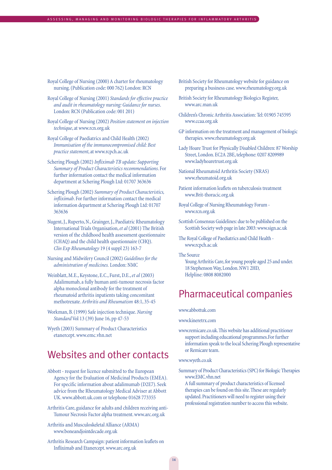- Royal College of Nursing (2000) A charter for rheumatology nursing. (Publication code: 000 762) London: RCN
- Royal College of Nursing (2001) *Standards for effective practice and audit in rheumatology nursing: Guidance for nurses*. London: RCN (Publication code: 001 201)
- Royal College of Nursing (2002) *Position statement on injection technique*, at www.rcn.org.uk
- Royal College of Paediatrics and Child Health (2002) *Immunisation of the immunocompromised child: Best practice statement*, at www.rcpch.ac.uk
- Schering Plough (2002) *Infliximab TB update: Supporting Summary of Product Characteristics recommendations*. For further information contact the medical information department at Schering Plough Ltd: 01707 363636
- Schering Plough (2002) *Summary of Product Characteristics, infliximab*. For further information contact the medical information department at Schering Plough Ltd: 01707 363636
- Nugent, J., Ruperto, N., Grainger, J., Paediatric Rheumatology International Trials Organisation,*et al* (2001) The British version of the childhood health assessment questionnaire (CHAQ) and the child health questionnaire (CHQ). *Clin Exp Rheumatology* 19 (4 suppl 23) 163-7
- Nursing and Midwifery Council (2002) *Guidelines for the administration of medicines.* London: NMC
- Weinblatt, M.E., Keystone, E.C., Furst, D.E.,*et al* (2003) Adalimumab, a fully human anti-tumour necrosis factor alpha monoclonal antibody for the treatment of rheumatoid arthritis inpatients taking concomitant methotrexate.*Arthritis and Rheumatism* 48:1, 35-45
- Workman, B. (1999) Safe injection technique.*Nursing Standard*Vol 13 (39) June 16, pp 47-53
- Wyeth (2003) Summary of Product Characteristics etanercept. www.emc.vhn.net

# Websites and other contacts

- Abbott request for licence submitted to the European Agency for the Evaluation of Medicinal Products (EMEA). For specific information about adalimumab (D2E7). Seek advice from the Rheumatology Medical Adviser at Abbott UK. www.abbott.uk.com or telephone 01628 773355
- Arthritis Care, guidance for adults and children receiving anti-Tumour Necrosis Factor alpha treatment. www.arc.org.uk
- Arthritis and Musculoskeletal Alliance (ARMA) www.boneandjointdecade.org.uk
- Arthritis Research Campaign: patient information leaflets on Infliximab and Etanercept. www.arc.org.uk
- British Society for Rheumatology website for guidance on preparing a business case. www.rheumatology.org.uk
- British Society for Rheumatology Biologics Register, www.arc.man.uk
- Children's Chronic Arthritis Association: Tel: 01905 745595 www.ccaa.org.uk
- GP information on the treatment and management of biologic therapies. www.rheumatology.org.uk
- Lady Hoare Trust for Physically Disabled Children: 87 Worship Street, London. EC2A 2BE, telephone: 0207 8209989 www.ladyhoaretrust.org.uk
- National Rheumatoid Arthritis Society (NRAS) www.rheumatoid.org.uk
- Patient information leaflets on tuberculosis treatment www.Brit-thoracic.org.uk
- Royal College of Nursing Rheumatology Forum www.rcn.org.uk
- Scottish Consensus Guidelines: due to be published on the Scottish Society web page in late 2003: www.sign.ac.uk
- The Royal College of Paediatrics and Child Health www.rcpch.ac.uk

The Source

Young Arthritis Care, for young people aged 25 and under. 18 Stephenson Way, London.NW1 2HD, Helpline: 0808 8082000

# Pharmaceutical companies

## www.abbottuk.com

www.kineretrx.com

www.remicare.co.uk.This website has additional practitioner support including educational programmes.For further information speak to the local Schering Plough representative or Remicare team.

www.wyeth.co.uk

- Summary of Product Characteristics (SPC) for Biologic Therapies www.EMC.vhn.net
	- A full summary of product characteristics of licensed therapies can be found on this site.These are regularly updated.Practitioners will need to register using their professional registration number to access this website.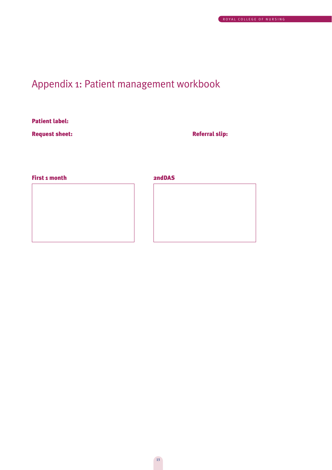# Appendix 1: Patient management workbook





**15**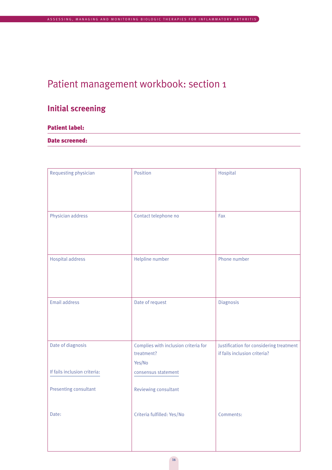# **Initial screening**

## Patient label:

## Date screened:

| Requesting physician         | Position                                                     | Hospital                                                                |
|------------------------------|--------------------------------------------------------------|-------------------------------------------------------------------------|
| Physician address            | Contact telephone no                                         | Fax                                                                     |
|                              |                                                              |                                                                         |
| <b>Hospital address</b>      | Helpline number                                              | Phone number                                                            |
| Email address                | Date of request                                              | Diagnosis                                                               |
| Date of diagnosis            | Complies with inclusion criteria for<br>treatment?<br>Yes/No | Justification for considering treatment<br>if fails inclusion criteria? |
| If fails inclusion criteria: | consensus statement                                          |                                                                         |
| <b>Presenting consultant</b> | Reviewing consultant                                         |                                                                         |
| Date:                        | Criteria fulfilled: Yes/No                                   | Comments:                                                               |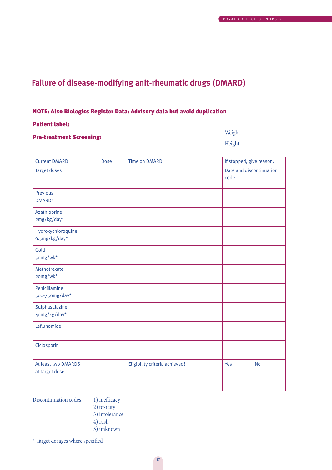$\overline{\mathbb{R}}$ 

# **Failure of disease-modifying anit-rheumatic drugs (DMARD)**

## NOTE: Also Biologics Register Data: Advisory data but avoid duplication

## Patient label:

| <b>Pre-treatment Screening:</b> | Weight |  |
|---------------------------------|--------|--|
|                                 | Height |  |

| <b>Current DMARD</b>                  | <b>Dose</b> | <b>Time on DMARD</b>           | If stopped, give reason:         |
|---------------------------------------|-------------|--------------------------------|----------------------------------|
| <b>Target doses</b>                   |             |                                | Date and discontinuation<br>code |
| Previous<br><b>DMARDS</b>             |             |                                |                                  |
| Azathioprine<br>2mg/kg/day*           |             |                                |                                  |
| Hydroxychloroquine<br>6.5mg/kg/day*   |             |                                |                                  |
| Gold<br>50mg/wk*                      |             |                                |                                  |
| Methotrexate<br>20mg/wk*              |             |                                |                                  |
| Penicillamine<br>500-750mg/day*       |             |                                |                                  |
| Sulphasalazine<br>40mg/kg/day*        |             |                                |                                  |
| Leflunomide                           |             |                                |                                  |
| Ciclosporin                           |             |                                |                                  |
| At least two DMARDS<br>at target dose |             | Eligibility criteria achieved? | Yes<br><b>No</b>                 |

Discontinuation codes: 1) inefficacy

2) toxicity

- 3) intolerance
- 4) rash
- 5) unknown

\* Target dosages where specified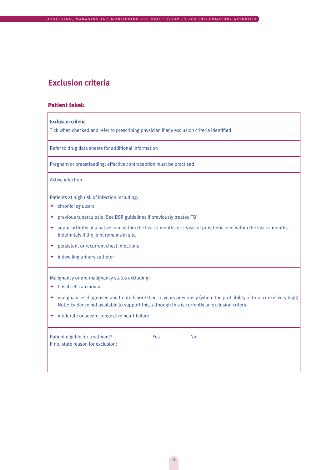## **Exclusion criteria**

## Patient label:

#### Exclusion criteria

Tick when checked and refer to prescribing physician if any exclusion criteria identified

Refer to drug data sheets for additional information

Pregnant or breastfeeding; effective contraception must be practised

Active infection

Patients at high risk of infection including:

- ✦ chronic leg ulcers
- ✦ previous tuberculosis (See BSR guidelines if previously treated TB)
- ✦ septic arthritis of a native joint within the last 12 months or sepsis of prosthetic joint within the last 12 months. Indefinitely if the joint remains in situ
- ✦ persistent or recurrent chest infections
- ✦ indwelling urinary catheter

Malignancy or pre-malignancy states excluding:

- ✦ basal cell carcinoma
- ✦ malignancies diagnosed and treated more than 10 years previously (where the probability of total cure is very high) Note: Evidence not available to support this, although this is currently an exclusion criteria
- ✦ moderate or severe congestive heart failure

| Patient eligible for treatment?<br>If no, state reason for exclusion: | Yes | No. |  |
|-----------------------------------------------------------------------|-----|-----|--|
|                                                                       |     |     |  |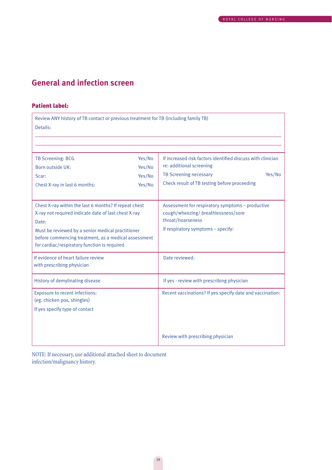# **General and infection screen**

## Patient label:

 $\mathbf{r}$ 

| Review ANY history of TB contact or previous treatment for TB (including family TB)                                                                                                                                                                                                 |                  |                                                                                                                                                    |  |
|-------------------------------------------------------------------------------------------------------------------------------------------------------------------------------------------------------------------------------------------------------------------------------------|------------------|----------------------------------------------------------------------------------------------------------------------------------------------------|--|
| Details:                                                                                                                                                                                                                                                                            |                  |                                                                                                                                                    |  |
|                                                                                                                                                                                                                                                                                     |                  |                                                                                                                                                    |  |
|                                                                                                                                                                                                                                                                                     |                  |                                                                                                                                                    |  |
| <b>TB Screening: BCG</b><br>Born outside UK:                                                                                                                                                                                                                                        | Yes/No<br>Yes/No | If increased risk factors identified discuss with clinician<br>re: additional screening                                                            |  |
| Scar:                                                                                                                                                                                                                                                                               | Yes/No           | <b>TB Screening necessary</b><br>Yes/No                                                                                                            |  |
| Chest X-ray in last 6 months:                                                                                                                                                                                                                                                       | Yes/No           | Check result of TB testing before proceeding                                                                                                       |  |
|                                                                                                                                                                                                                                                                                     |                  |                                                                                                                                                    |  |
| Chest X-ray within the last 6 months? If repeat chest<br>X-ray not required indicate date of last chest X-ray<br>Date:<br>Must be reviewed by a senior medical practitioner<br>before commencing treatment, as a medical assessment<br>for cardiac/respiratory function is required |                  | Assessment for respiratory symptoms - productive<br>cough/wheezing/ breathlessness/sore<br>throat/hoarseness<br>If respiratory symptoms - specify: |  |
| If evidence of heart failure review<br>with prescribing physician                                                                                                                                                                                                                   |                  | Date reviewed:                                                                                                                                     |  |
| History of demylinating disease                                                                                                                                                                                                                                                     |                  | If yes - review with prescribing physician                                                                                                         |  |
| <b>Exposure to recent infections:</b><br>(eg. chicken pox, shingles)<br>If yes specify type of contact                                                                                                                                                                              |                  | Recent vaccinations? If yes specify date and vaccination:                                                                                          |  |
|                                                                                                                                                                                                                                                                                     |                  | Review with prescribing physician                                                                                                                  |  |

NOTE: If necessary, use additional attached sheet to document infection/malignancy history.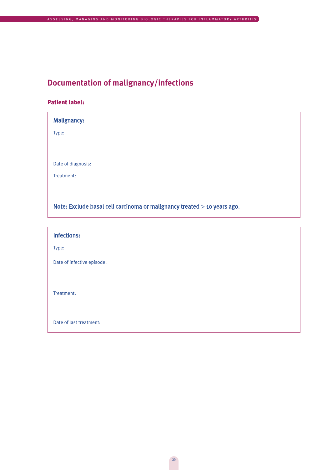# **Documentation of malignancy/infections**

## Patient label:

| <b>Malignancy:</b>                                                       |  |
|--------------------------------------------------------------------------|--|
| Type:                                                                    |  |
|                                                                          |  |
| Date of diagnosis:                                                       |  |
| Treatment:                                                               |  |
|                                                                          |  |
| Note: Exclude basal cell carcinoma or malignancy treated > 10 years ago. |  |

| <b>Infections:</b>         |  |
|----------------------------|--|
| Type:                      |  |
| Date of infective episode: |  |
|                            |  |
| Treatment:                 |  |
| Date of last treatment:    |  |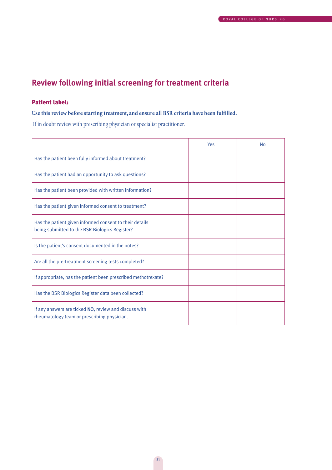# **Review following initial screening for treatment criteria**

## Patient label:

**Use this review before starting treatment, and ensure all BSR criteria have been fulfilled.**

If in doubt review with prescribing physician or specialist practitioner.

|                                                                                                           | Yes | <b>No</b> |
|-----------------------------------------------------------------------------------------------------------|-----|-----------|
| Has the patient been fully informed about treatment?                                                      |     |           |
| Has the patient had an opportunity to ask questions?                                                      |     |           |
| Has the patient been provided with written information?                                                   |     |           |
| Has the patient given informed consent to treatment?                                                      |     |           |
| Has the patient given informed consent to their details<br>being submitted to the BSR Biologics Register? |     |           |
| Is the patient's consent documented in the notes?                                                         |     |           |
| Are all the pre-treatment screening tests completed?                                                      |     |           |
| If appropriate, has the patient been prescribed methotrexate?                                             |     |           |
| Has the BSR Biologics Register data been collected?                                                       |     |           |
| If any answers are ticked NO, review and discuss with<br>rheumatology team or prescribing physician.      |     |           |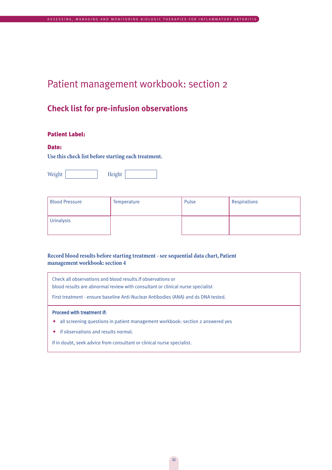## **Check list for pre-infusion observations**

## Patient Label:

## Date:

**Use this check list before starting each treatment.**



| <b>Blood Pressure</b> | Temperature | Pulse | <b>Respirations</b> |
|-----------------------|-------------|-------|---------------------|
| <b>Urinalysis</b>     |             |       |                     |

## **Record blood results before starting treatment - see sequential data chart, Patient management workbook: section 4**

Check all observations and blood results.If observations or blood results are abnormal review with consultant or clinical nurse specialist

First treatment - ensure baseline Anti-Nuclear Antibodies (ANA) and ds DNA tested.

## Proceed with treatment if:

- ✦ all screening questions in patient management workbook: section 2 answered yes
- ✦ if observations and results normal.

If in doubt, seek advice from consultant or clinical nurse specialist.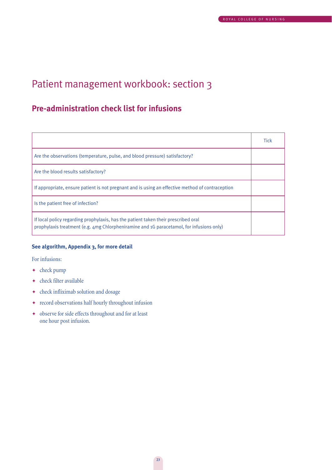# **Pre-administration check list for infusions**

|                                                                                                                                                                                | Tick |
|--------------------------------------------------------------------------------------------------------------------------------------------------------------------------------|------|
| Are the observations (temperature, pulse, and blood pressure) satisfactory?                                                                                                    |      |
| Are the blood results satisfactory?                                                                                                                                            |      |
| If appropriate, ensure patient is not pregnant and is using an effective method of contraception                                                                               |      |
| Is the patient free of infection?                                                                                                                                              |      |
| If local policy regarding prophylaxis, has the patient taken their prescribed oral<br>prophylaxis treatment (e.g. 4mg Chlorpheniramine and 1G paracetamol, for infusions only) |      |

## **See algorithm, Appendix 3, for more detail**

For infusions:

- ✦ check pump
- ✦ check filter available
- ✦ check infliximab solution and dosage
- ✦ record observations half hourly throughout infusion
- ✦ observe for side effects throughout and for at least one hour post infusion.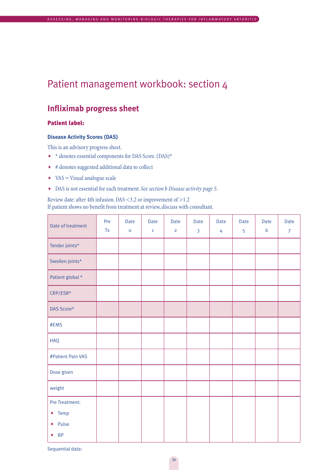## **Infliximab progress sheet**

## Patient label:

## **Disease Activity Scores (DAS)**

This is an advisory progress sheet.

- ✦ \* denotes essential components for DAS Score. (DAS)\*
- ✦ # denotes suggested additional data to collect
- $\triangleleft$  VAS = Visual analogue scale
- ✦ DAS is not essential for each treatment. *See section b Disease activity page 5*.

Review date: after 4th infusion. DAS <3.2 or improvement of >1.2 If patient shows no benefit from treatment at review, discuss with consultant.

| Date of treatment  | Pre<br>Tx | <b>Date</b><br>$\mathsf{O}$ | Date<br>$\mathbf 1$ | <b>Date</b><br>$\mathbf 2$ | <b>Date</b><br>$\overline{3}$ | Date<br>$\overline{4}$ | Date<br>5 | Date<br>$\boldsymbol{6}$ | <b>Date</b><br>$\overline{7}$ |
|--------------------|-----------|-----------------------------|---------------------|----------------------------|-------------------------------|------------------------|-----------|--------------------------|-------------------------------|
| Tender joints*     |           |                             |                     |                            |                               |                        |           |                          |                               |
| Swollen joints*    |           |                             |                     |                            |                               |                        |           |                          |                               |
| Patient global *   |           |                             |                     |                            |                               |                        |           |                          |                               |
| CRP/ESR*           |           |                             |                     |                            |                               |                        |           |                          |                               |
| DAS Score*         |           |                             |                     |                            |                               |                        |           |                          |                               |
| #EMS               |           |                             |                     |                            |                               |                        |           |                          |                               |
| <b>HAQ</b>         |           |                             |                     |                            |                               |                        |           |                          |                               |
| #Patient Pain VAS  |           |                             |                     |                            |                               |                        |           |                          |                               |
| Dose given         |           |                             |                     |                            |                               |                        |           |                          |                               |
| weight             |           |                             |                     |                            |                               |                        |           |                          |                               |
| Pre Treatment:     |           |                             |                     |                            |                               |                        |           |                          |                               |
| Temp<br>٠          |           |                             |                     |                            |                               |                        |           |                          |                               |
| Pulse<br>٠         |           |                             |                     |                            |                               |                        |           |                          |                               |
| $\triangleleft$ BP |           |                             |                     |                            |                               |                        |           |                          |                               |

Sequential data: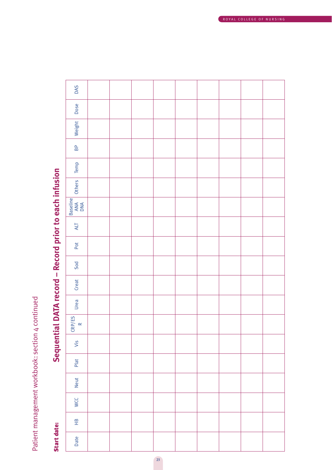Patient management workbook: section 4 continued Patient management workbook: section 4 continued

# DAS Dose Weight  $B<sub>B</sub>$ Temp Others Baseline ANA DNA ALT Pot Sod Creat Urea CRP/ES  $\propto$ Vis Plat Neut WCC  $\frac{\omega}{2}$ Date

# Sequential DATA record - Record prior to each infusion **Sequential DATA record – Record prior to each infusion**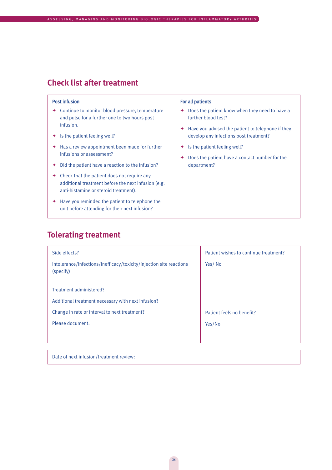## **Check list after treatment**

## Post infusion

- ✦ Continue to monitor blood pressure, temperature and pulse for a further one to two hours post infusion.
- ✦ Is the patient feeling well?
- ✦ Has a review appointment been made for further infusions or assessment?
- ✦ Did the patient have a reaction to the infusion?
- ✦ Check that the patient does not require any additional treatment before the next infusion (e.g. anti-histamine or steroid treatment).
- ✦ Have you reminded the patient to telephone the unit before attending for their next infusion?

## For all patients

- ✦ Does the patient know when they need to have a further blood test?
- ✦ Have you advised the patient to telephone if they develop any infections post treatment?
- ✦ Is the patient feeling well?
- ✦ Does the patient have a contact number for the department?

## **Tolerating treatment**

| Side effects?                                                                    | Patient wishes to continue treatment? |
|----------------------------------------------------------------------------------|---------------------------------------|
| Intolerance/infections/inefficacy/toxicity/injection site reactions<br>(specify) | Yes/No                                |
| Treatment administered?                                                          |                                       |
| Additional treatment necessary with next infusion?                               |                                       |
| Change in rate or interval to next treatment?                                    | Patient feels no benefit?             |
| Please document:                                                                 | Yes/No                                |
|                                                                                  |                                       |

Date of next infusion/treatment review: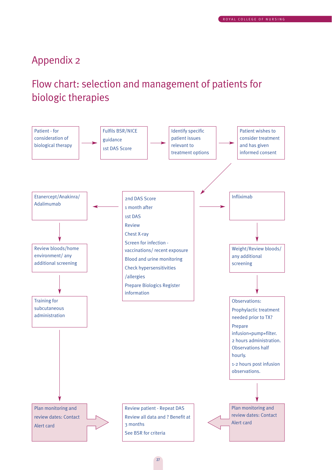# Flow chart: selection and management of patients for biologic therapies

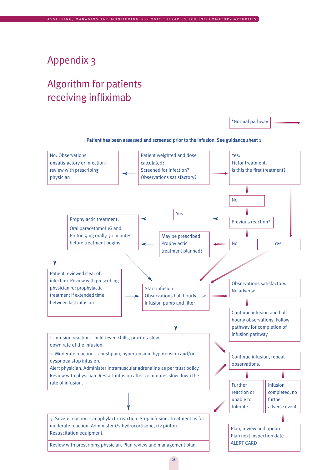# Algorithm for patients receiving infliximab



\*Normal pathway

**28**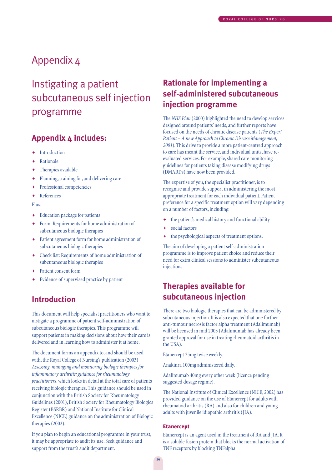Instigating a patient subcutaneous self injection programme

## **Appendix 4 includes:**

- **Introduction**
- **Rationale**
- ✦ Therapies available
- ✦ Planning, training for, and delivering care
- ✦ Professional competencies
- ✦ References

## Plus:

- ✦ Education package for patients
- ✦ Form: Requirements for home administration of subcutaneous biologic therapies
- ✦ Patient agreement form for home administration of subcutaneous biologic therapies
- ✦ Check list: Requirements of home administration of subcutaneous biologic therapies
- ✦ Patient consent form
- ✦ Evidence of supervised practice by patient

## **Introduction**

This document will help specialist practitioners who want to instigate a programme of patient self-administration of subcutaneous biologic therapies. This programme will support patients in making decisions about how their care is delivered and in learning how to administer it at home.

The document forms an appendix to, and should be used with, the Royal College of Nursing's publication (2003) *Assessing, managing and monitoring biologic therapies for inflammatory arthritis: guidance for rheumatology practitioners*, which looks in detail at the total care of patients receiving biologic therapies. This guidance should be used in conjunction with the British Society for Rheumatology Guidelines (2001), British Society for Rheumatology Biologics Register (BSRBR) and National Institute for Clinical Excellence (NICE) guidance on the administration of Biologic therapies (2002).

If you plan to begin an educational programme in your trust, it may be appropriate to audit its use. Seek guidance and support from the trust's audit department.

# **Rationale for implementing a self-administered subcutaneous injection programme**

The *NHS Plan* (2000) highlighted the need to develop services designed around patients' needs, and further reports have focused on the needs of chronic disease patients (*The Expert Patient – A new Approach to Chronic Disease Management, 2001*). This drive to provide a more patient-centred approach to care has meant the service, and individual units, have reevaluated services. For example, shared care monitoring guidelines for patients taking disease modifying drugs (DMARDs) have now been provided.

The expertise of you, the specialist practitioner, is to recognise and provide support in administering the most appropriate treatment for each individual patient. Patient preference for a specific treatment option will vary depending on a number of factors, including:

- the patient's medical history and functional ability
- social factors
- the psychological aspects of treatment options.

The aim of developing a patient self-administration programme is to improve patient choice and reduce their need for extra clinical sessions to administer subcutaneous injections.

## **Therapies available for subcutaneous injection**

There are two biologic therapies that can be administered by subcutaneous injection. It is also expected that one further anti-tumour necrosis factor alpha treatment (Adalimumab) will be licensed in mid 2003 (Adalimumab has already been granted approval for use in treating rheumatoid arthritis in the USA).

Etanercept 25mg twice weekly.

Anakinra 100mg administered daily.

Adalimumab 40mg every other week (licence pending suggested dosage regime).

The National Institute of Clinical Excellence (NICE, 2002) has provided guidance on the use of Etanercept for adults with rheumatoid arthritis (RA) and also for children and young adults with juvenile idiopathic arthritis (JIA).

#### Etanercept

Etanercept is an agent used in the treatment of RA and JIA. It is a soluble fusion protein that blocks the normal activation of TNF receptors by blocking TNFalpha.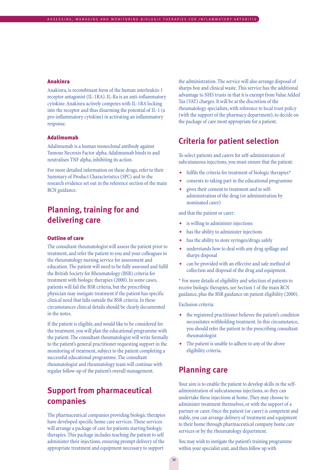Anakinra, is recombinant form of the human interleukin-1 receptor antagonist (IL-1RA). IL-Ra is an anti-inflammatory cytokine. Anakinra actively competes with IL-1RA locking into the receptor and thus disarming the potential of IL-1 (a pro-inflammatory cytokine) in activating an inflammatory response.

ASSESSING, MANAGING AND MONITORING BIOLOGIC THERAPIES FOR INFLAMMATORY ARTHRITIS

#### Adalimumab

Adalimumab is a human monoclonal antibody against Tumour Necrosis Factor alpha. Adalimumab binds to and neutralises TNF alpha, inhibiting its action.

For more detailed information on these drugs, refer to their Summary of Product Characteristics (SPC) and to the research evidence set out in the reference section of the main RCN guidance.

## **Planning, training for and delivering care**

## Outline of care

The consultant rheumatologist will assess the patient prior to treatment, and refer the patient to you and your colleagues in the rheumatology nursing service for assessment and education. The patient will need to be fully assessed and fulfil the British Society for Rheumatology (BSR) criteria for treatment with biologic therapies (2000). In some cases, patients will fail the BSR criteria, but the prescribing physician may instigate treatment if the patient has specific clinical need that falls outside the BSR criteria. In these circumstances clinical details should be clearly documented in the notes.

If the patient is eligible, and would like to be considered for the treatment, you will plan the educational programme with the patient. The consultant rheumatologist will write formally to the patient's general practitioner requesting support in the monitoring of treatment, subject to the patient completing a successful educational programme. The consultant rheumatologist and rheumatology team will continue with regular follow-up of the patient's overall management.

## **Support from pharmaceutical companies**

The pharmaceutical companies providing biologic therapies have developed specific home care services. These services will arrange a package of care for patients starting biologic therapies. This package includes teaching the patient to self administer their injections, ensuring prompt delivery of the appropriate treatment and equipment necessary to support

the administration. The service will also arrange disposal of sharps box and clinical waste. This service has the additional advantage to NHS trusts in that it is exempt from Value Added Tax (VAT) charges. It will be at the discretion of the rheumatology specialists, with reference to local trust policy (with the support of the pharmacy department), to decide on the package of care most appropriate for a patient.

## **Criteria for patient selection**

To select patients and carers for self-administration of subcutaneous injections, you must ensure that the patient:

- ✦ fulfils the criteria for treatment of biologic therapies\*
- consents to taking part in the educational programme
- gives their consent to treatment and to selfadministration of the drug (or administration by nominated carer)

and that the patient or carer:

- ✦ is willing to administer injections
- ✦ has the ability to administer injections
- has the ability to store syringes/drugs safely
- ✦ understands how to deal with any drug spillage and sharps disposal
- ✦ can be provided with an effective and safe method of collection and disposal of the drug and equipment.

\* For more details of eligibility and selection of patients to receive biologic therapies, see Section 1 of the main RCN guidance, plus the BSR guidance on patient eligibility (2000).

Exclusion criteria:

- ✦ the registered practitioner believes the patient's condition necessitates withholding treatment. In this circumstance, you should refer the patient to the prescribing consultant rheumatologist
- ✦ The patient is unable to adhere to any of the above eligibility criteria.

## **Planning care**

Your aim is to enable the patient to develop skills in the selfadministration of subcutaneous injections, so they can undertake these injections at home. They may choose to administer treatment themselves, or with the support of a partner or carer. Once the patient (or carer) is competent and stable, you can arrange delivery of treatment and equipment to their home through pharmaceutical company home care services or by the rheumatology department.

You may wish to instigate the patient's training programme within your specialist unit, and then follow up with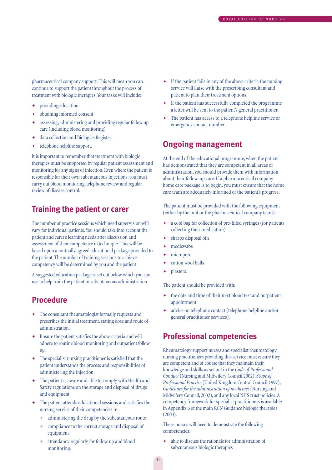pharmaceutical company support. This will mean you can continue to support the patient throughout the process of treatment with biologic therapies.Your tasks will include:

- ✦ providing education
- ✦ obtaining informed consent
- ✦ assessing, administering and providing regular follow up care (including blood monitoring)
- ✦ data collection and Biologics Register
- ✦ telephone helpline support.

It is important to remember that treatment with biologic therapies must be supported by regular patient assessment and monitoring for any signs of infection. Even where the patient is responsible for their own subcutaneous injections, you must carry out blood monitoring, telephone review and regular review of disease control.

## **Training the patient or carer**

The number of practice sessions which need supervision will vary for individual patients.You should take into account the patient and carer's learning needs after discussion and assessment of their competence in technique. This will be based upon a mutually agreed educational package provided to the patient. The number of training sessions to achieve competency will be determined by you and the patient

A suggested education package is set out below which you can use to help train the patient in subcutaneous administration.

## **Procedure**

- ✦ The consultant rheumatologist formally requests and prescribes the initial treatment, stating dose and route of administration.
- Ensure the patient satisfies the above criteria and will adhere to routine blood monitoring and outpatient follow up.
- The specialist nursing practitioner is satisfied that the patient understands the process and responsibilities of administering the injection.
- The patient is aware and able to comply with Health and Safety regulations on the storage and disposal of drugs and equipment
- ✦ The patient attends educational sessions and satisfies the nursing service of their competencies in:
	- administering the drug by the subcutaneous route
	- ✦ compliance to the correct storage and disposal of equipment
	- attendancy regularly for follow up and blood monitoring.
- ✦ If the patient fails in any of the above criteria the nursing service will liaise with the prescribing consultant and patient to plan their treatment options.
- If the patient has successfully completed the programme a letter will be sent to the patient's general practitioner.
- The patient has access to a telephone helpline service or emergency contact number.

## **Ongoing management**

At the end of the educational programme, when the patient has demonstrated that they are competent in all areas of administration, you should provide them with information about their follow-up care. If a pharmaceutical company home care package is to begin, you must ensure that the home care team are adequately informed of the patient's progress.

The patient must be provided with the following equipment (either by the unit or the pharmaceutical company team):

- ✦ a cool bag for collection of pre-filled syringes (for patients collecting their medication)
- sharps disposal bin
- ✦ mediswabs
- micropore
- cotton wool balls
- ✦ plasters.

The patient should be provided with:

- the date and time of their next blood test and outpatient appointment
- ✦ advice on telephone contact (telephone helpline and/or general practitioner services).

## **Professional competencies**

Rheumatology support nurses and specialist rheumatology nursing practitioners providing this service must ensure they are competent and of course that they maintain their knowledge and skills as set out in the *Code of Professional Conduct* (Nursing and Midwifery Council 2002), *Scope of Professional Practice*(United Kingdom Central Council,1997), *Guidelines for the administration of medicines* (Nursing and Midwifery Council, 2002), and any local NHS trust policies.A competency framework for specialist practitioners is available in Appendix 6 of the main RCN Guidance biologic therapies (2003).

These nurses will need to demonstrate the following competencies:

✦ able to discuss the rationale for administration of subcutaneous biologic therapies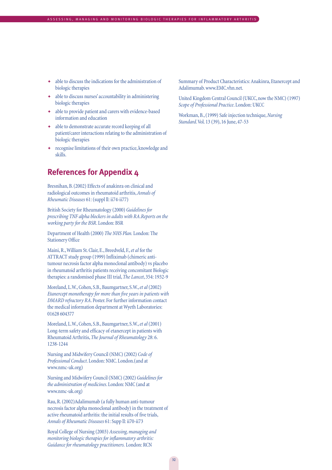- able to discuss the indications for the administration of biologic therapies
- able to discuss nurses' accountability in administering biologic therapies
- able to provide patient and carers with evidence-based information and education
- able to demonstrate accurate record keeping of all patient/carer interactions relating to the administration of biologic therapies
- ✦ recognise limitations of their own practice, knowledge and skills.

## **References for Appendix 4**

Bresnihan, B. (2002) Effects of anakinra on clinical and radiological outcomes in rheumatoid arthritis,*Annals of Rheumatic Diseases* 61: (suppl ll: ii74-ii77)

British Society for Rheumatology (2000) *Guidelines for prescribing TNF alpha blockers in adults with RA.Reports on the working party for the BSR*. London: BSR

Department of Health (2000) *The NHS Plan.* London: The Stationery Office

Maini, R.,William St. Clair, E., Breedveld, F.,*et al* for the ATTRACT study group (1999) Infliximab (chimeric antitumour necrosis factor alpha monoclonal antibody) vs placebo in rheumatoid arthritis patients receiving concomitant Biologic therapies: a randomised phase III trial,*The Lancet*, 354: 1932-9

Moreland, L.W., Cohen, S.B., Baumgartner, S.W.,*et al* (2002) *Etanercept monotherapy for more than five years in patients with DMARD refractory RA*. Poster. For further information contact the medical information department at Wyeth Laboratories: 01628 604377

Moreland, L.W., Cohen, S.B., Baumgartner, S.W.,*et al* (2001) Long-term safety and efficacy of etanercept in patients with Rheumatoid Arthritis,*The Journal of Rheumatology* 28: 6. 1238-1244

Nursing and Midwifery Council (NMC) (2002) *Code of Professional Conduct*. London: NMC. London.(and at www.nmc-uk.org)

Nursing and Midwifery Council (NMC) (2002) *Guidelines for the administration of medicines*. London: NMC (and at www.nmc-uk.org)

Rau, R. (2002)Adalimumab (a fully human anti-tumour necrosis factor alpha monoclonal antibody) in the treatment of active rheumatoid arthritis: the initial results of five trials, *Annals of Rheumatic Diseases* 61: Supp ll: ii70-ii73

Royal College of Nursing (2003) *Assessing, managing and monitoring biologic therapies for inflammatory arthritis: Guidance for rheumatology practitioners.* London: RCN

Summary of Product Characteristics: Anakinra, Etanercept and Adalimumab. www.EMC.vhn.net.

United Kingdom Central Council (UKCC, now the NMC) (1997) *Scope of Professional Practice*. London: UKCC

Workman, B., (1999) Safe injection technique,*Nursing Standard*.Vol. 13 (39), 16 June, 47-53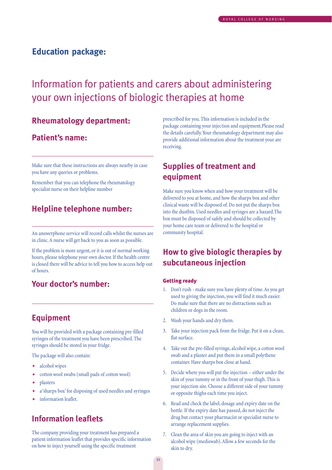## **Education package:**

# Information for patients and carers about administering your own injections of biologic therapies at home

## **Rheumatology department:**

## **Patient's name:**

Make sure that these instructions are always nearby in case you have any queries or problems.

Remember that you can telephone the rheumatology specialist nurse on their helpline number

## **Helpline telephone number:**

An answerphone service will record calls whilst the nurses are in clinic. A nurse will get back to you as soon as possible.

If the problem is more urgent, or it is out of normal working hours, please telephone your own doctor. If the health centre is closed there will be advice to tell you how to access help out of hours.

## **Your doctor's number:**

## **Equipment**

You will be provided with a package containing pre-filled syringes of the treatment you have been prescribed. The syringes should be stored in your fridge.

The package will also contain:

- ✦ alcohol wipes
- ✦ cotton wool swabs (small pads of cotton wool)
- ✦ plasters
- ✦ a 'sharps box' for disposing of used needles and syringes
- information leaflet.

## **Information leaflets**

The company providing your treatment has prepared a patient information leaflet that provides specific information on how to inject yourself using the specific treatment

prescribed for you. This information is included in the package containing your injection and equipment.Please read the details carefully.Your rheumatology department may also provide additional information about the treatment your are receiving.

## **Supplies of treatment and equipment**

Make sure you know when and how your treatment will be delivered to you at home, and how the sharps box and other clinical waste will be disposed of. Do not put the sharps box into the dustbin. Used needles and syringes are a hazard.The box must be disposed of safely and should be collected by your home care team or delivered to the hospital or community hospital.

# **How to give biologic therapies by subcutaneous injection**

## Getting ready

- 1. Don't rush make sure you have plenty of time. As you get used to giving the injection, you will find it much easier. Do make sure that there are no distractions such as children or dogs in the room.
- 2. Wash your hands and dry them.
- 3. Take your injection pack from the fridge. Put it on a clean, flat surface.
- 4. Take out the pre-filled syringe, alcohol wipe, a cotton wool swab and a plaster and put them in a small polythene container. Have sharps box close at hand.
- 5. Decide where you will put the injection either under the skin of your tummy or in the front of your thigh. This is your injection site. Choose a different side of your tummy or opposite thighs each time you inject.
- 6. Read and check the label, dosage and expiry date on the bottle. If the expiry date has passed, do not inject the drug but contact your pharmacist or specialist nurse to arrange replacement supplies.
- 7. Clean the area of skin you are going to inject with an alcohol wipe (mediswab). Allow a few seconds for the skin to dry.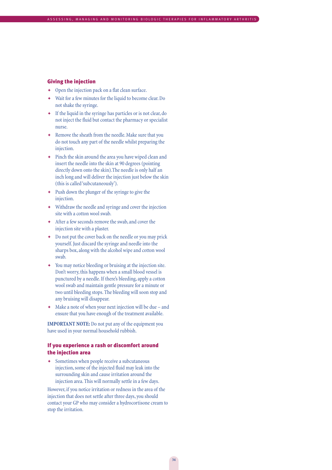## Giving the injection

- ✦ Open the injection pack on a flat clean surface.
- Wait for a few minutes for the liquid to become clear. Do not shake the syringe.

ASSESSING, MANAGING AND MONITORING BIOLOGIC THERAPIES FOR INFLAMMATORY ARTHRITIS

- ✦ If the liquid in the syringe has particles or is not clear, do not inject the fluid but contact the pharmacy or specialist nurse.
- ✦ Remove the sheath from the needle. Make sure that you do not touch any part of the needle whilst preparing the injection.
- ✦ Pinch the skin around the area you have wiped clean and insert the needle into the skin at 90 degrees (pointing directly down onto the skin).The needle is only half an inch long and will deliver the injection just below the skin (this is called 'subcutaneously').
- ✦ Push down the plunger of the syringe to give the injection.
- Withdraw the needle and syringe and cover the injection site with a cotton wool swab.
- After a few seconds remove the swab, and cover the injection site with a plaster.
- Do not put the cover back on the needle or you may prick yourself. Just discard the syringe and needle into the sharps box, along with the alcohol wipe and cotton wool swab.
- You may notice bleeding or bruising at the injection site. Don't worry, this happens when a small blood vessel is punctured by a needle. If there's bleeding, apply a cotton wool swab and maintain gentle pressure for a minute or two until bleeding stops. The bleeding will soon stop and any bruising will disappear.
- ✦ Make a note of when your next injection will be due and ensure that you have enough of the treatment available.

**IMPORTANT NOTE:** Do not put any of the equipment you have used in your normal household rubbish.

## If you experience a rash or discomfort around the injection area

✦ Sometimes when people receive a subcutaneous injection, some of the injected fluid may leak into the surrounding skin and cause irritation around the injection area. This will normally settle in a few days.

However, if you notice irritation or redness in the area of the injection that does not settle after three days, you should contact your GP who may consider a hydrocortisone cream to stop the irritation.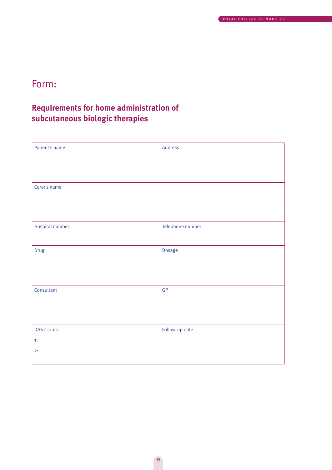# Form:

# **Requirements for home administration of subcutaneous biologic therapies**

| Patient's name    | Address          |
|-------------------|------------------|
|                   |                  |
|                   |                  |
|                   |                  |
| Carer's name      |                  |
|                   |                  |
|                   |                  |
| Hospital number   | Telephone number |
|                   |                  |
| Drug              | Dosage           |
|                   |                  |
|                   |                  |
|                   |                  |
| Consultant        | GP               |
|                   |                  |
|                   |                  |
|                   |                  |
| <b>DAS</b> scores | Follow-up date   |
| 1:                |                  |
| 2:                |                  |
|                   |                  |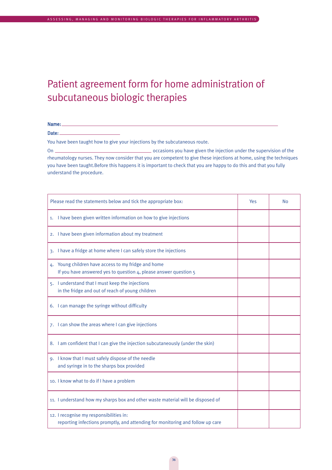# Patient agreement form for home administration of subcutaneous biologic therapies

understand the procedure.

| Date: the contract of the contract of the contract of the contract of the contract of the contract of the contract of the contract of the contract of the contract of the contract of the contract of the contract of the cont |                                                                                                                      |
|--------------------------------------------------------------------------------------------------------------------------------------------------------------------------------------------------------------------------------|----------------------------------------------------------------------------------------------------------------------|
| You have been taught how to give your injections by the subcutaneous route.                                                                                                                                                    |                                                                                                                      |
|                                                                                                                                                                                                                                |                                                                                                                      |
|                                                                                                                                                                                                                                | rheumatology nurses. They now consider that you are competent to give these injections at home, using the techniques |
|                                                                                                                                                                                                                                | you have been taught. Before this happens it is important to check that you are happy to do this and that you fully  |

Please read the statements below and tick the appropriate box: Yes No 1. I have been given written information on how to give injections 2. I have been given information about my treatment 3. I have a fridge at home where I can safely store the injections 4. Young children have access to my fridge and home If you have answered yes to question 4, please answer question 5 5. I understand that I must keep the injections in the fridge and out of reach of young children 6. I can manage the syringe without difficulty 7. I can show the areas where I can give injections 8. I am confident that I can give the injection subcutaneously (under the skin) 9. I know that I must safely dispose of the needle and syringe in to the sharps box provided 10. I know what to do if I have a problem 11. I understand how my sharps box and other waste material will be disposed of 12. I recognise my responsibilities in:

reporting infections promptly, and attending for monitoring and follow up care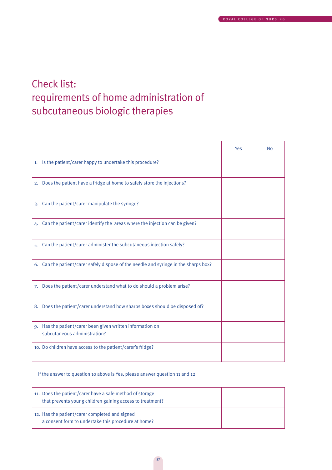# Check list: requirements of home administration of subcutaneous biologic therapies

|                                                                                            | Yes | <b>No</b> |
|--------------------------------------------------------------------------------------------|-----|-----------|
| 1. Is the patient/carer happy to undertake this procedure?                                 |     |           |
| 2. Does the patient have a fridge at home to safely store the injections?                  |     |           |
| 3. Can the patient/carer manipulate the syringe?                                           |     |           |
| 4. Can the patient/carer identify the areas where the injection can be given?              |     |           |
| 5. Can the patient/carer administer the subcutaneous injection safely?                     |     |           |
| 6. Can the patient/carer safely dispose of the needle and syringe in the sharps box?       |     |           |
| 7. Does the patient/carer understand what to do should a problem arise?                    |     |           |
| 8. Does the patient/carer understand how sharps boxes should be disposed of?               |     |           |
| 9. Has the patient/carer been given written information on<br>subcutaneous administration? |     |           |
| 10. Do children have access to the patient/carer's fridge?                                 |     |           |

If the answer to question 10 above is Yes, please answer question 11 and 12

| 11. Does the patient/carer have a safe method of storage<br>that prevents young children gaining access to treatment? |  |
|-----------------------------------------------------------------------------------------------------------------------|--|
| 12. Has the patient/carer completed and signed<br>a consent form to undertake this procedure at home?                 |  |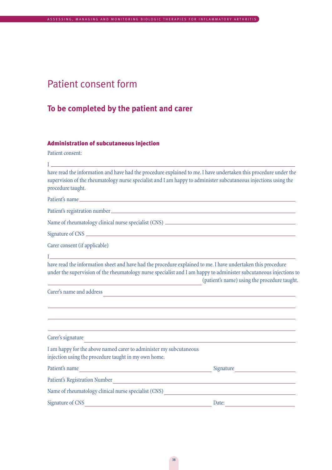# Patient consent form

## **To be completed by the patient and carer**

## Administration of subcutaneous injection

Patient consent:

 $\mathbf{I}$ 

 $I_{-}$ 

have read the information and have had the procedure explained to me. I have undertaken this procedure under the supervision of the rheumatology nurse specialist and I am happy to administer subcutaneous injections using the procedure taught.

Patient's name

Patient's registration number

Name of rheumatology clinical nurse specialist (CNS)

Signature of CNS

Carer consent (if applicable)

have read the information sheet and have had the procedure explained to me. I have undertaken this procedure under the supervision of the rheumatology nurse specialist and I am happy to administer subcutaneous injections to (patient's name) using the procedure taught.

Carer's name and address

Carer's signature

I am happy for the above named carer to administer my subcutaneous injection using the procedure taught in my own home.

| Patient's name                                       | Signature |  |
|------------------------------------------------------|-----------|--|
| <b>Patient's Registration Number</b>                 |           |  |
| Name of rheumatology clinical nurse specialist (CNS) |           |  |
| Signature of CNS                                     | Date:     |  |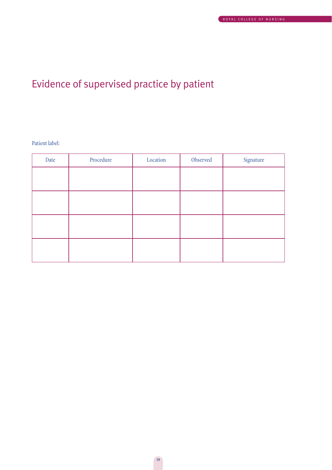# Evidence of supervised practice by patient

Patient label:

| Date | Procedure | Location | Observed | Signature |
|------|-----------|----------|----------|-----------|
|      |           |          |          |           |
|      |           |          |          |           |
|      |           |          |          |           |
|      |           |          |          |           |
|      |           |          |          |           |
|      |           |          |          |           |
|      |           |          |          |           |
|      |           |          |          |           |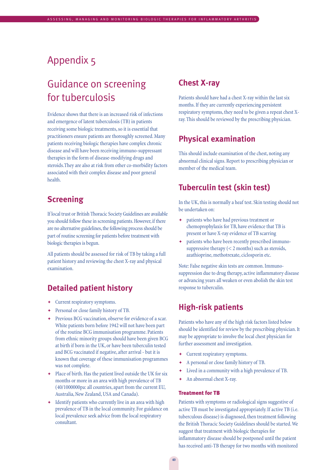# Guidance on screening for tuberculosis

Evidence shows that there is an increased risk of infections and emergence of latent tuberculosis (TB) in patients receiving some biologic treatments, so it is essential that practitioners ensure patients are thoroughly screened. Many patients receiving biologic therapies have complex chronic disease and will have been receiving immuno-suppressant therapies in the form of disease-modifying drugs and steroids.They are also at risk from other co-morbidity factors associated with their complex disease and poor general health.

## **Screening**

If local trust or British Thoracic Society Guidelines are available you should follow these in screening patients. However, if there are no alternative guidelines, the following process should be part of routine screening for patients before treatment with biologic therapies is begun.

All patients should be assessed for risk of TB by taking a full patient history and reviewing the chest X-ray and physical examination.

## **Detailed patient history**

- Current respiratory symptoms.
- Personal or close family history of TB.
- Previous BCG vaccination, observe for evidence of a scar. White patients born before 1942 will not have been part of the routine BCG immunisation programme. Patients from ethnic minority groups should have been given BCG at birth if born in the UK, or have been tuberculin tested and BCG vaccinated if negative, after arrival - but it is known that coverage of these immunisation programmes was not complete.
- Place of birth. Has the patient lived outside the UK for six months or more in an area with high prevalence of TB (40/1000000pa: all countries, apart from the current EU, Australia, New Zealand, USA and Canada).
- ✦ Identify patients who currently live in an area with high prevalence of TB in the local community. For guidance on local prevalence seek advice from the local respiratory consultant.

## **Chest X-ray**

Patients should have had a chest X-ray within the last six months. If they are currently experiencing persistent respiratory symptoms, they need to be given a repeat chest Xray. This should be reviewed by the prescribing physician.

## **Physical examination**

This should include examination of the chest, noting any abnormal clinical signs. Report to prescribing physician or member of the medical team.

## **Tuberculin test (skin test)**

In the UK, this is normally a heaf test. Skin testing should not be undertaken on:

- ✦ patients who have had previous treatment or chemoprophylaxis for TB, have evidence that TB is present or have X-ray evidence of TB scarring
- ✦ patients who have been recently prescribed immunosuppressive therapy (< 2 months) such as steroids, azathioprine, methotrexate, ciclosporin etc.

Note: False negative skin tests are common. Immunosuppression due to drug therapy, active inflammatory disease or advancing years all weaken or even abolish the skin test response to tuberculin.

## **High-risk patients**

Patients who have any of the high risk factors listed below should be identified for review by the prescribing physician. It may be appropriate to involve the local chest physician for further assessment and investigation.

- ✦ Current respiratory symptoms.
- ✦ A personal or close family history of TB.
- Lived in a community with a high prevalence of TB.
- ✦ An abnormal chest X-ray.

#### Treatment for TB

Patients with symptoms or radiological signs suggestive of active TB must be investigated appropriately. If active TB (i.e. tuberculous disease) is diagnosed, then treatment following the British Thoracic Society Guidelines should be started. We suggest that treatment with biologic therapies for inflammatory disease should be postponed until the patient has received anti-TB therapy for two months with monitored

**40**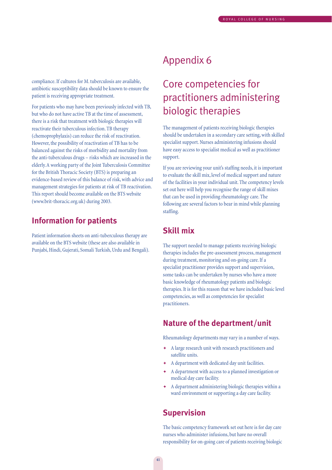compliance. If cultures for M. tuberculosis are available, antibiotic susceptibility data should be known to ensure the patient is receiving appropriate treatment.

For patients who may have been previously infected with TB, but who do not have active TB at the time of assessment, there is a risk that treatment with biologic therapies will reactivate their tuberculous infection. TB therapy (chemoprophylaxis) can reduce the risk of reactivation. However, the possibility of reactivation of TB has to be balanced against the risks of morbidity and mortality from the anti-tuberculous drugs – risks which are increased in the elderly. A working party of the Joint Tuberculosis Committee for the British Thoracic Society (BTS) is preparing an evidence-based review of this balance of risk, with advice and management strategies for patients at risk of TB reactivation. This report should become available on the BTS website (www.brit-thoracic.org.uk) during 2003.

## **Information for patients**

Patient information sheets on anti-tuberculous therapy are available on the BTS website (these are also available in Punjabi, Hindi, Gujerati, Somali Turkish, Urdu and Bengali).

# Appendix 6

# Core competencies for practitioners administering biologic therapies

The management of patients receiving biologic therapies should be undertaken in a secondary care setting, with skilled specialist support. Nurses administering infusions should have easy access to specialist medical as well as practitioner support.

If you are reviewing your unit's staffing needs, it is important to evaluate the skill mix, level of medical support and nature of the facilities in your individual unit. The competency levels set out here will help you recognise the range of skill mixes that can be used in providing rheumatology care. The following are several factors to bear in mind while planning staffing.

## **Skill mix**

The support needed to manage patients receiving biologic therapies includes the pre-assessment process, management during treatment, monitoring and on-going care. If a specialist practitioner provides support and supervision, some tasks can be undertaken by nurses who have a more basic knowledge of rheumatology patients and biologic therapies. It is for this reason that we have included basic level competencies, as well as competencies for specialist practitioners.

# **Nature of the department/unit**

Rheumatology departments may vary in a number of ways.

- ✦ A large research unit with research practitioners and satellite units.
- ✦ A department with dedicated day unit facilities.
- ✦ A department with access to a planned investigation or medical day care facility.
- A department administering biologic therapies within a ward environment or supporting a day care facility.

## **Supervision**

The basic competency framework set out here is for day care nurses who administer infusions, but have no overall responsibility for on-going care of patients receiving biologic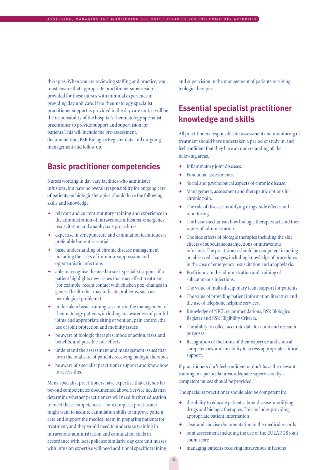therapies. When you are reviewing staffing and practice, you must ensure that appropriate practitioner supervision is provided for these nurses with minimal experience in providing day unit care. If no rheumatology specialist practitioner support is provided in the day care unit, it will be the responsibility of the hospital's rheumatology specialist practitioner to provide support and supervision for patients.This will include the pre-assessment, documentation, BSR Biologics Register data and on-going management and follow up.

ASSESSING, MANAGING AND MONITORING BIOLOGIC THERAPIES FOR INFLAMMATORY ARTHRITIS

## **Basic practitioner competencies**

Nurses working in day care facilities who administer infusions, but have no overall responsibility for ongoing care of patients on biologic therapies, should have the following skills and knowledge:

- ✦ relevant and current statutory training and experience in the administration of intravenous infusions, emergency resuscitation and anaphylaxis procedures
- ✦ expertise in venepuncture and cannulation techniques is preferable but not essential
- basic understanding of chronic disease management including the risks of immuno-suppression and opportunistic infections
- able to recognise the need to seek specialist support if a patient highlights new issues that may affect treatment (for example, recent contact with chicken pox, changes in general health that may indicate problems, such as neurological problems)
- undertaken basic training sessions in the management of rheumatology patients, including an awareness of painful joints and appropriate siting of venflon, pain control, the use of joint protection and mobility issues
- ✦ be aware of biologic therapies, mode of action, risks and benefits, and possible side effects
- understand the assessment and management issues that form the total care of patients receiving biologic therapies
- ✦ be aware of specialist practitioner support and know how to access this.

Many specialist practitioners have expertise that extends far beyond competencies documented above. Service needs may determine whether practitioners will need further education to meet these competencies - for example, a practitioner might want to acquire cannulation skills to improve patient care and support the medical team in preparing patients for treatment, and they would need to undertake training in intravenous administration and cannulation skills in accordance with local policies; similarly, day care unit nurses with infusion expertise will need additional specific training

and supervision in the management of patients receiving biologic therapies.

## **Essential specialist practitioner knowledge and skills**

All practitioners responsible for assessment and monitoring of treatment should have undertaken a period of study in, and feel confident that they have an understanding of, the following areas.

- ✦ Inflammatory joint diseases.
- Functional assessments.
- Social and psychological aspects of chronic disease.
- ✦ Management, assessment and therapeutic options for chronic pain.
- ✦ The role of disease-modifying drugs, side effects and monitoring.
- The basic mechanism how biologic therapies act, and their routes of administration.
- ✦ The side effects of biologic therapies including the side effects of subcutaneous injections or intravenous infusions. The practitioner should be competent in acting on observed changes, including knowledge of procedures in the case of emergency resuscitation and anaphylaxis.
- ✦ Proficiency in the administration and training of subcutaneous injections.
- The value of multi-disciplinary team support for patients.
- The value of providing patient information literature and the use of telephone helpline services.
- ✦ Knowledge of NICE recommendations, BSR Biologics Register and BSR Eligibility Criteria.
- ✦ The ability to collect accurate data for audit and research purposes.
- ✦ Recognition of the limits of their expertise and clinical competencies, and an ability to access appropriate clinical support.

If practitioners don't feel confident or don't have the relevant training in a particular area, adequate supervision by a competent nurses should be provided.

The specialist practitioner should also be competent in:

- the ability to educate patients about disease-modifying drugs and biologic therapies. This includes providing appropriate patient information
- clear and concise documentation in the medical records
- ✦ joint assessment including the use of the EULAR 28 joint count score
- ✦ managing patients receiving intravenous infusions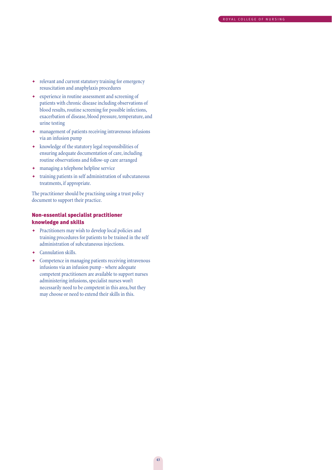- ✦ relevant and current statutory training for emergency resuscitation and anaphylaxis procedures
- ✦ experience in routine assessment and screening of patients with chronic disease including observations of blood results, routine screening for possible infections, exacerbation of disease, blood pressure, temperature, and urine testing
- ✦ management of patients receiving intravenous infusions via an infusion pump
- ✦ knowledge of the statutory legal responsibilities of ensuring adequate documentation of care, including routine observations and follow-up care arranged
- ✦ managing a telephone helpline service
- ✦ training patients in self administration of subcutaneous treatments, if appropriate.

The practitioner should be practising using a trust policy document to support their practice.

## Non-essential specialist practitioner knowledge and skills

- ✦ Practitioners may wish to develop local policies and training procedures for patients to be trained in the self administration of subcutaneous injections.
- ✦ Cannulation skills.
- ✦ Competence in managing patients receiving intravenous infusions via an infusion pump - where adequate competent practitioners are available to support nurses administering infusions, specialist nurses won't necessarily need to be competent in this area, but they may choose or need to extend their skills in this.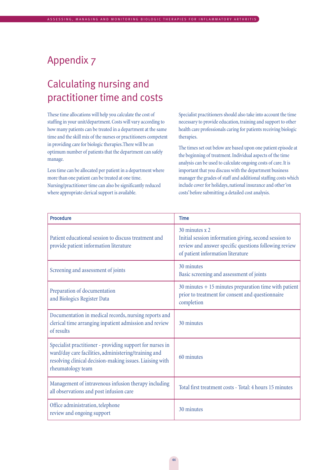# Calculating nursing and practitioner time and costs

These time allocations will help you calculate the cost of staffing in your unit/department. Costs will vary according to how many patients can be treated in a department at the same time and the skill mix of the nurses or practitioners competent in providing care for biologic therapies.There will be an optimum number of patients that the department can safely manage.

Less time can be allocated per patient in a department where more than one patient can be treated at one time. Nursing/practitioner time can also be significantly reduced where appropriate clerical support is available.

Specialist practitioners should also take into account the time necessary to provide education, training and support to other health care professionals caring for patients receiving biologic therapies.

The times set out below are based upon one patient episode at the beginning of treatment. Individual aspects of the time analysis can be used to calculate ongoing costs of care. It is important that you discuss with the department business manager the grades of staff and additional staffing costs which include cover for holidays, national insurance and other 'on costs' before submitting a detailed cost analysis.

| <b>Procedure</b>                                                                                                                                                                                   | <b>Time</b>                                                                                                                                                               |
|----------------------------------------------------------------------------------------------------------------------------------------------------------------------------------------------------|---------------------------------------------------------------------------------------------------------------------------------------------------------------------------|
| Patient educational session to discuss treatment and<br>provide patient information literature                                                                                                     | $30$ minutes x $2$<br>Initial session information giving, second session to<br>review and answer specific questions following review<br>of patient information literature |
| Screening and assessment of joints                                                                                                                                                                 | 30 minutes<br>Basic screening and assessment of joints                                                                                                                    |
| Preparation of documentation<br>and Biologics Register Data                                                                                                                                        | $30$ minutes + 15 minutes preparation time with patient<br>prior to treatment for consent and questionnaire<br>completion                                                 |
| Documentation in medical records, nursing reports and<br>clerical time arranging inpatient admission and review<br>of results                                                                      | 30 minutes                                                                                                                                                                |
| Specialist practitioner - providing support for nurses in<br>ward/day care facilities, administering/training and<br>resolving clinical decision-making issues. Liaising with<br>rheumatology team | 60 minutes                                                                                                                                                                |
| Management of intravenous infusion therapy including<br>all observations and post infusion care                                                                                                    | Total first treatment costs - Total: 4 hours 15 minutes                                                                                                                   |
| Office administration, telephone<br>review and ongoing support                                                                                                                                     | 30 minutes                                                                                                                                                                |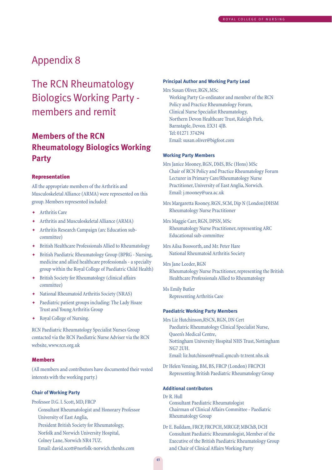# The RCN Rheumatology Biologics Working Party members and remit

# **Members of the RCN Rheumatology Biologics Working Party**

#### Representation

All the appropriate members of the Arthritis and Musculoskeletal Alliance (ARMA) were represented on this group. Members represented included:

- ✦ Arthritis Care
- ✦ Arthritis and Musculoskeletal Alliance (ARMA)
- ✦ Arthritis Research Campaign (arc Education subcommittee)
- ✦ British Healthcare Professionals Allied to Rheumatology
- ✦ British Paediatric Rheumatology Group (BPRG Nursing, medicine and allied healthcare professionals - a specialty group within the Royal College of Paediatric Child Health)
- ✦ British Society for Rheumatology (clinical affairs committee)
- ✦ National Rheumatoid Arthritis Society (NRAS)
- ✦ Paediatric patient groups including: The Lady Hoare Trust and Young Arthritis Group
- ✦ Royal College of Nursing.

RCN Paediatric Rheumatology Specialist Nurses Group contacted via the RCN Paediatric Nurse Adviser via the RCN website, www.rcn.org.uk

## Members

(All members and contributors have documented their vested interests with the working party.)

#### **Chair of Working Party**

Professor D.G. I. Scott, MD, FRCP Consultant Rheumatologist and Honorary Professor University of East Anglia, President British Society for Rheumatology, Norfolk and Norwich University Hospital, Colney Lane, Norwich NR4 7UZ. Email: david.scott@norfolk-norwich.thenhs.com

#### **Principal Author and Working Party Lead**

Mrs Susan Oliver, RGN, MSc Working Party Co-ordinator and member of the RCN Policy and Practice Rheumatology Forum, Clinical Nurse Specialist Rheumatology, Northern Devon Healthcare Trust, Raleigh Park, Barnstaple, Devon. EX31 4JB. Tel: 01271 374294 Email: susan.oliver@bigfoot.com

## **Working Party Members**

- Mrs Janice Mooney, RGN, DMS, BSc (Hons) MSc Chair of RCN Policy and Practice Rheumatology Forum Lecturer in Primary Care/Rheumatology Nurse Practitioner, University of East Anglia, Norwich. Email: j.mooney@uea.ac.uk
- Mrs Margaretta Rooney, RGN, SCM, Dip N (London)DHSM Rheumatology Nurse Practitioner
- Mrs Maggie Carr, RGN, DPSN, MSc Rheumatology Nurse Practitioner, representing ARC Educational sub-committee
- Mrs Ailsa Bosworth, and Mr. Peter Hare National Rheumatoid Arthritis Society
- Mrs Jane Leeder, RGN Rheumatology Nurse Practitioner, representing the British Healthcare Professionals Allied to Rheumatology
- Ms Emily Butler Representing Arthritis Care

## **Paediatric Working Party Members**

- Mrs Liz Hutchinson,RSCN, RGN, DN Cert Paediatric Rheumatology Clinical Specialist Nurse, Queen's Medical Centre, Nottingham University Hospital NHS Trust, Nottingham NG7 2UH. Email: liz.hutchinson@mail.qmcuh-tr.trent.nhs.uk
- Dr Helen Venning, BM, BS, FRCP (London) FRCPCH Representing British Paediatric Rheumatology Group

## **Additional contributors**

- Dr R. Hull Consultant Paediatric Rheumatologist Chairman of Clinical Affairs Committee - Paediatric Rheumatology Group
- Dr E. Baildam, FRCP, FRCPCH, MRCGP, MBChB, DCH Consultant Paediatric Rheumatologist, Member of the Executive of the British Paediatric Rheumatology Group and Chair of Clinical Affairs Working Party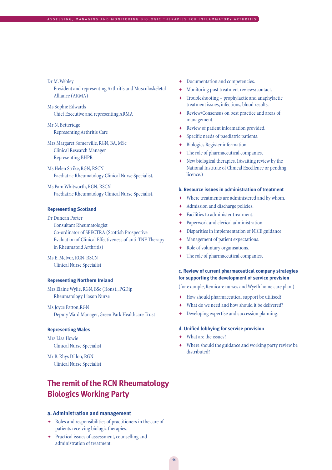Dr M. Webley President and representing Arthritis and Musculoskeletal Alliance (ARMA)

Ms Sophie Edwards Chief Executive and representing ARMA

- Mr N. Betteridge Representing Arthritis Care
- Mrs Margaret Somerville, RGN, BA, MSc Clinical Research Manager Representing BHPR

Ms Helen Strike, RGN, RSCN Paediatric Rheumatology Clinical Nurse Specialist,

Ms Pam Whitworth, RGN, RSCN Paediatric Rheumatology Clinical Nurse Specialist,

#### **Representing Scotland**

Dr Duncan Porter Consultant Rheumatologist Co-ordinator of SPECTRA (Scottish Prospective Evaluation of Clinical Effectiveness of anti-TNF Therapy in Rheumatoid Arthritis)

Ms E. McIvor, RGN, RSCN Clinical Nurse Specialist

#### **Representing Northern Ireland**

Mrs Elaine Wylie, RGN, BSc (Hons)., PGDip Rheumatology Liason Nurse

Ms Joyce Patton,RGN Deputy Ward Manager, Green Park Healthcare Trust

## **Representing Wales**

Mrs Lisa Howie Clinical Nurse Specialist

Mr B. Rhys Dillon, RGN Clinical Nurse Specialist

## **The remit of the RCN Rheumatology Biologics Working Party**

#### **a. Administration and management**

- ✦ Roles and responsibilities of practitioners in the care of patients receiving biologic therapies.
- Practical issues of assessment, counselling and administration of treatment.
- ✦ Documentation and competencies.
- ✦ Monitoring post treatment reviews/contact.
- Troubleshooting prophylactic and anaphylactic treatment issues, infections, blood results.
- ✦ Review/Consensus on best practice and areas of management.
- Review of patient information provided.
- Specific needs of paediatric patients.
- Biologics Register information.
- The role of pharmaceutical companies.
- New biological therapies. (Awaiting review by the National Institute of Clinical Excellence or pending licence.)

## **b. Resource issues in administration of treatment**

- ✦ Where treatments are administered and by whom.
- Admission and discharge policies.
- Facilities to administer treatment.
- ✦ Paperwork and clerical administration.
- Disparities in implementation of NICE guidance.
- Management of patient expectations.
- ✦ Role of voluntary organisations.
- ✦ The role of pharmaceutical companies.

## **c. Review of current pharmaceutical company strategies for supporting the development of service provision**

(for example, Remicare nurses and Wyeth home care plan.)

- ✦ How should pharmaceutical support be utilised?
- What do we need and how should it be delivered?
- ✦ Developing expertise and succession planning.

## **d. Unified lobbying for service provision**

- What are the issues?
- Where should the guidance and working party review be distributed?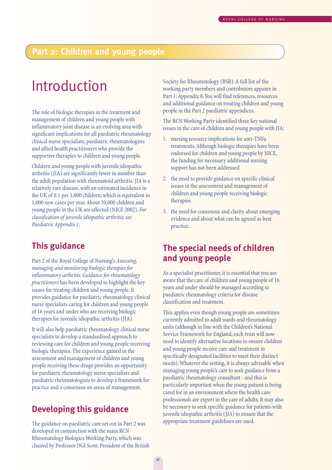## **Part 2: Children and young people**

# Introduction

The role of biologic therapies in the treatment and management of children and young people with inflammatory joint disease is an evolving area with significant implications for all paediatric rheumatology clinical nurse specialists, paediatric rheumatologists and allied health practitioners who provide the supportive therapies to children and young people.

Children and young people with juvenile idiopathic arthritis (JIA) are significantly fewer in number than the adult population with rheumatoid arthritis. JIA is a relatively rare disease, with an estimated incidence in the UK of 0.1 per 1,000 children, which is equivalent to 1,000 new cases per year. About 10,000 children and young people in the UK are affected (NICE 2002). *For classification of juvenile idiopathic arthritis, see Paediatric Appendix 1*.

## **This guidance**

Part 2 of the Royal College of Nursing's *Assessing, managing and monitoring biologic therapies for inflammatory arthritis: Guidance for rheumatology practitioners* has been developed to highlight the key issues for treating children and young people. It provides guidance for paediatric rheumatology clinical nurse specialists caring for children and young people of 16 years and under who are receiving biologic therapies for juvenile idiopathic arthritis (JIA).

It will also help paediatric rheumatology clinical nurse specialists to develop a standardised approach to reviewing care for children and young people receiving biologic therapies. The experience gained in the assessment and management of children and young people receiving these drugs provides an opportunity for paediatric rheumatology nurse specialists and paediatric rheumatologists to develop a framework for practice and a consensus on areas of management.

# **Developing this guidance**

The guidance on paediatric care set out in Part 2 was developed in conjunction with the main RCN Rheumatology Biologics Working Party, which was chaired by Professor DGI Scott, President of the British Society for Rheumatology (BSR). A full list of the working party members and contributors appears in Part 1: Appendix 8.You will find references, resources and additional guidance on treating children and young people in the Part 2 paediatric appendices.

The RCN Working Party identified three key national issues in the care of children and young people with JIA:

- 1. nursing resource implications for anti-TNFa treatments. Although biologic therapies have been endorsed for children and young people by NICE, the funding for necessary additional nursing support has not been addressed
- 2. the need to provide guidance on specific clinical issues in the assessment and management of children and young people receiving biologic therapies
- 3. the need for consensus and clarity about emerging evidence and about what can be agreed as best practice.

## **The special needs of children and young people**

As a specialist practitioner, it is essential that you are aware that the care of children and young people of 16 years and under should be managed according to paediatric rheumatology criteria for disease classification and treatment.

This applies even though young people are sometimes currently admitted to adult wards and rheumatology units (although in line with the Children's National Service Framework for England, each trust will now need to identify alternative locations to ensure children and young people receive care and treatment in specifically designated facilities to meet their distinct needs). Whatever the setting, it is always advisable when managing young people's care to seek guidance from a paediatric rheumatology consultant - and this is particularly important when the young patient is being cared for in an environment where the health care professionals are expert in the care of adults. It may also be necessary to seek specific guidance for patients with juvenile idiopathic arthritis (JIA) to ensure that the appropriate treatment guidelines are used.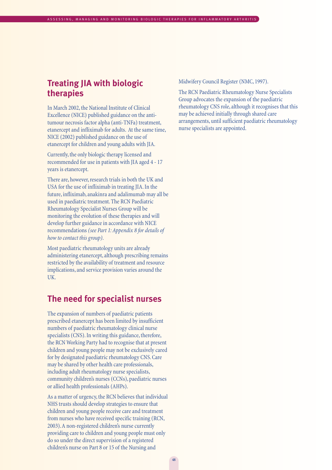## **Treating JIA with biologic therapies**

In March 2002, the National Institute of Clinical Excellence (NICE) published guidance on the antitumour necrosis factor alpha (anti-TNFa) treatment, etanercept and infliximab for adults. At the same time, NICE (2002) published guidance on the use of etanercept for children and young adults with JIA.

Currently, the only biologic therapy licensed and recommended for use in patients with JIA aged 4 - 17 years is etanercept.

There are, however, research trials in both the UK and USA for the use of infliximab in treating JIA. In the future, infliximab, anakinra and adalimumab may all be used in paediatric treatment. The RCN Paediatric Rheumatology Specialist Nurses Group will be monitoring the evolution of these therapies and will develop further guidance in accordance with NICE recommendations *(see Part 1: Appendix 8 for details of how to contact this group)*.

Most paediatric rheumatology units are already administering etanercept, although prescribing remains restricted by the availability of treatment and resource implications, and service provision varies around the UK.

## **The need for specialist nurses**

The expansion of numbers of paediatric patients prescribed etanercept has been limited by insufficient numbers of paediatric rheumatology clinical nurse specialists (CNS). In writing this guidance, therefore, the RCN Working Party had to recognise that at present children and young people may not be exclusively cared for by designated paediatric rheumatology CNS. Care may be shared by other health care professionals, including adult rheumatology nurse specialists, community children's nurses (CCNs), paediatric nurses or allied health professionals (AHPs).

As a matter of urgency, the RCN believes that individual NHS trusts should develop strategies to ensure that children and young people receive care and treatment from nurses who have received specific training (RCN, 2003). A non-registered children's nurse currently providing care to children and young people must only do so under the direct supervision of a registered children's nurse on Part 8 or 15 of the Nursing and

Midwifery Council Register (NMC, 1997).

The RCN Paediatric Rheumatology Nurse Specialists Group advocates the expansion of the paediatric rheumatology CNS role, although it recognises that this may be achieved initially through shared care arrangements, until sufficient paediatric rheumatology nurse specialists are appointed.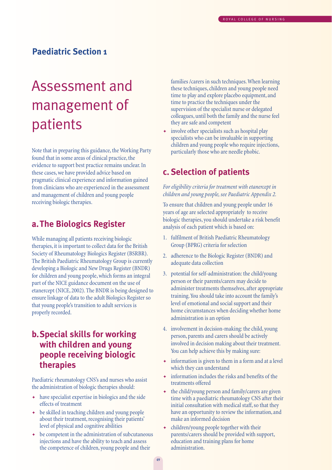## **Paediatric Section 1**

# Assessment and management of patients

Note that in preparing this guidance, the Working Party found that in some areas of clinical practice, the evidence to support best practice remains unclear. In these cases, we have provided advice based on pragmatic clinical experience and information gained from clinicians who are experienced in the assessment and management of children and young people receiving biologic therapies.

# **a.The Biologics Register**

While managing all patients receiving biologic therapies, it is important to collect data for the British Society of Rheumatology Biologics Register (BSRBR). The British Paediatric Rheumatology Group is currently developing a Biologic and New Drugs Register (BNDR) for children and young people, which forms an integral part of the NICE guidance document on the use of etanercept (NICE, 2002). The BNDR is being designed to ensure linkage of data to the adult Biologics Register so that young people's transition to adult services is properly recorded.

# **b.Special skills for working with children and young people receiving biologic therapies**

Paediatric rheumatology CNS's and nurses who assist the administration of biologic therapies should:

- ✦ have specialist expertise in biologics and the side effects of treatment
- ✦ be skilled in teaching children and young people about their treatment, recognising their patients' level of physical and cognitive abilities
- $\triangleleft$  be competent in the administration of subcutaneous injections and have the ability to teach and assess the competence of children, young people and their

families /carers in such techniques. When learning these techniques, children and young people need time to play and explore placebo equipment, and time to practice the techniques under the supervision of the specialist nurse or delegated colleagues, until both the family and the nurse feel they are safe and competent

involve other specialists such as hospital play specialists who can be invaluable in supporting children and young people who require injections, particularly those who are needle phobic.

# **c. Selection of patients**

*For eligibility criteria for treatment with etanercept in children and young people, see Paediatric Appendix 2.*

To ensure that children and young people under 16 years of age are selected appropriately to receive biologic therapies, you should undertake a risk benefit analysis of each patient which is based on:

- 1. fulfilment of British Paediatric Rheumatology Group (BPRG) criteria for selection
- 2. adherence to the Biologic Register (BNDR) and adequate data collection
- 3. potential for self-administration: the child/young person or their parents/carers may decide to administer treatments themselves, after appropriate training.You should take into account the family's level of emotional and social support and their home circumstances when deciding whether home administration is an option
- 4. involvement in decision-making: the child, young person, parents and carers should be actively involved in decision making about their treatment. You can help achieve this by making sure:
- information is given to them in a form and at a level which they can understand
- information includes the risks and benefits of the treatments offered
- the child/young person and family/carers are given time with a paediatric rheumatology CNS after their initial consultation with medical staff, so that they have an opportunity to review the information, and make an informed decision
- children/young people together with their parents/carers should be provided with support, education and training plans for home administration.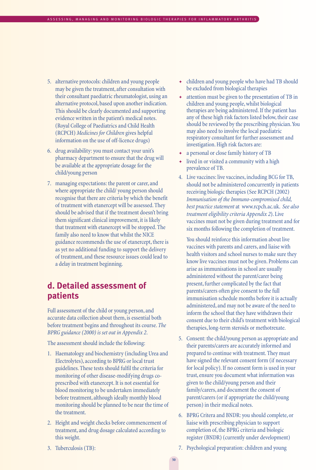5. alternative protocols: children and young people may be given the treatment, after consultation with their consultant paediatric rheumatologist, using an alternative protocol, based upon another indication. This should be clearly documented and supporting evidence written in the patient's medical notes. (Royal College of Paediatrics and Child Health (RCPCH) *Medicines for Children* gives helpful information on the use of off-licence drugs)

ASSESSING, MANAGING AND MONITORING BIOLOGIC THERAPIES FOR INFLAMMATORY ARTHRITIS

- 6. drug availability: you must contact your unit's pharmacy department to ensure that the drug will be available at the appropriate dosage for the child/young person
- 7. managing expectations: the parent or carer, and where appropriate the child/ young person should recognise that there are criteria by which the benefit of treatment with etanercept will be assessed. They should be advised that if the treatment doesn't bring them significant clinical improvement, it is likely that treatment with etanercept will be stopped. The family also need to know that whilst the NICE guidance recommends the use of etanercept, there is as yet no additional funding to support the delivery of treatment, and these resource issues could lead to a delay in treatment beginning.

# **d. Detailed assessment of patients**

Full assessment of the child or young person, and accurate data collection about them, is essential both before treatment begins and throughout its course.*The BPRG guidance (2000) is set out in Appendix 2*.

The assessment should include the following:

- 1. Haematology and biochemistry (including Urea and Electrolytes), according to BPRG or local trust guidelines. These tests should fulfil the criteria for monitoring of other disease-modifying drugs coprescribed with etanercept. It is not essential for blood monitoring to be undertaken immediately before treatment, although ideally monthly blood monitoring should be planned to be near the time of the treatment.
- 2. Height and weight checks before commencement of treatment, and drug dosage calculated according to this weight.
- 3. Tuberculosis (TB):
- ✦ children and young people who have had TB should be excluded from biological therapies
- ✦ attention must be given to the presentation of TB in children and young people, whilst biological therapies are being administered. If the patient has any of these high risk factors listed below, their case should be reviewed by the prescribing physician.You may also need to involve the local paediatric respiratory consultant for further assessment and investigation. High risk factors are:
- ✦ a personal or close family history of TB
- lived in or visited a community with a high prevalence of TB.
- 4. Live vaccines: live vaccines, including BCG for TB, should not be administered concurrently in patients receiving biologic therapies (See RCPCH (2002) *Immunisation of the Immuno-compromised child, best practice statement* at www.rcpch.ac.uk. *See also treatment eligibility criteria Appendix 2*). Live vaccines must not be given during treatment and for six months following the completion of treatment.

You should reinforce this information about live vaccines with parents and carers, and liaise with health visitors and school nurses to make sure they know live vaccines must not be given. Problems can arise as immunisations in school are usually administered without the parent/carer being present, further complicated by the fact that parents/carers often give consent to the full immunisation schedule months before it is actually administered, and may not be aware of the need to inform the school that they have withdrawn their consent due to their child's treatment with biological therapies, long-term steroids or methotrexate.

- 5. Consent: the child/young person as appropriate and their parents/carers are accurately informed and prepared to continue with treatment. They must have signed the relevant consent form (if necessary for local policy). If no consent form is used in your trust, ensure you document what information was given to the child/young person and their family/carers, and document the consent of parent/carers (or if appropriate the child/young person) in their medical notes.
- 6. BPRG Critera and BNDR: you should complete, or liaise with prescribing physician to support completion of, the BPRG criteria and biologic register (BNDR) (currently under development)
- 7. Psychological preparation: children and young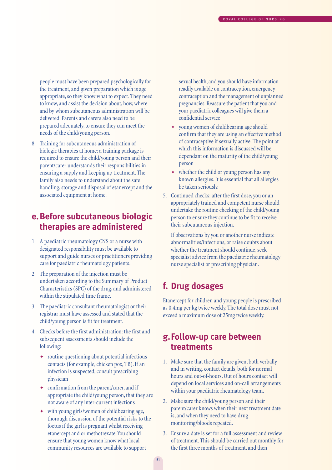people must have been prepared psychologically for the treatment, and given preparation which is age appropriate, so they know what to expect. They need to know, and assist the decision about, how, where and by whom subcutaneous administration will be delivered. Parents and carers also need to be prepared adequately, to ensure they can meet the needs of the child/young person.

8. Training for subcutaneous administration of biologic therapies at home: a training package is required to ensure the child/young person and their parent/carer understands their responsibilities in ensuring a supply and keeping up treatment. The family also needs to understand about the safe handling, storage and disposal of etanercept and the associated equipment at home.

## **e.Before subcutaneous biologic therapies are administered**

- 1. A paediatric rheumatology CNS or a nurse with designated responsibility must be available to support and guide nurses or practitioners providing care for paediatric rheumatology patients.
- 2. The preparation of the injection must be undertaken according to the Summary of Product Characteristics (SPC) of the drug, and administered within the stipulated time frame.
- 3. The paediatric consultant rheumatologist or their registrar must have assessed and stated that the child/young person is fit for treatment.
- 4. Checks before the first administration: the first and subsequent assessments should include the following:
	- ✦ routine questioning about potential infectious contacts (for example, chicken pox, TB). If an infection is suspected, consult prescribing physician
	- ✦ confirmation from the parent/carer, and if appropriate the child/young person, that they are not aware of any inter-current infections
	- ✦ with young girls/women of childbearing age, thorough discussion of the potential risks to the foetus if the girl is pregnant whilst receiving etanercept and or methotrexate.You should ensure that young women know what local community resources are available to support

sexual health, and you should have information readily available on contraception, emergency contraception and the management of unplanned pregnancies. Reassure the patient that you and your paediatric colleagues will give them a confidential service

- ✦ young women of childbearing age should confirm that they are using an effective method of contraceptive if sexually active. The point at which this information is discussed will be dependant on the maturity of the child/young person
- ✦ whether the child or young person has any known allergies. It is essential that all allergies be taken seriously.
- 5. Continued checks: after the first dose, you or an appropriately trained and competent nurse should undertake the routine checking of the child/young person to ensure they continue to be fit to receive their subcutaneous injection.

If observations by you or another nurse indicate abnormalities/infections, or raise doubts about whether the treatment should continue, seek specialist advice from the paediatric rheumatology nurse specialist or prescribing physician.

# **f. Drug dosages**

Etanercept for children and young people is prescribed as 0.4mg per kg twice weekly. The total dose must not exceed a maximum dose of 25mg twice weekly.

## **g.Follow-up care between treatments**

- 1. Make sure that the family are given, both verbally and in writing, contact details, both for normal hours and out-of-hours. Out of hours contact will depend on local services and on-call arrangements within your paediatric rheumatology team.
- 2. Make sure the child/young person and their parent/carer knows when their next treatment date is, and when they need to have drug monitoring/bloods repeated.
- 3. Ensure a date is set for a full assessment and review of treatment. This should be carried out monthly for the first three months of treatment, and then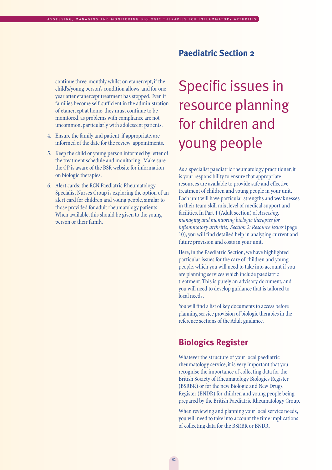## **Paediatric Section 2**

continue three-monthly whilst on etanercept, if the child's/young person's condition allows, and for one year after etanercept treatment has stopped. Even if families become self-sufficient in the administration of etanercept at home, they must continue to be monitored, as problems with compliance are not uncommon, particularly with adolescent patients.

- 4. Ensure the family and patient, if appropriate, are informed of the date for the review appointments.
- 5. Keep the child or young person informed by letter of the treatment schedule and monitoring. Make sure the GP is aware of the BSR website for information on biologic therapies.
- 6. Alert cards: the RCN Paediatric Rheumatology Specialist Nurses Group is exploring the option of an alert card for children and young people, similar to those provided for adult rheumatology patients. When available, this should be given to the young person or their family.

# Specific issues in resource planning for children and young people

As a specialist paediatric rheumatology practitioner, it is your responsibility to ensure that appropriate resources are available to provide safe and effective treatment of children and young people in your unit. Each unit will have particular strengths and weaknesses in their team skill mix, level of medical support and facilities. In Part 1 (Adult section) of *Assessing, managing and monitoring biologic therapies for inflammatory arthritis, Section 2: Resource issues* (page 10), you will find detailed help in analysing current and future provision and costs in your unit.

Here, in the Paediatric Section, we have highlighted particular issues for the care of children and young people, which you will need to take into account if you are planning services which include paediatric treatment. This is purely an advisory document, and you will need to develop guidance that is tailored to local needs.

You will find a list of key documents to access before planning service provision of biologic therapies in the reference sections of the Adult guidance.

# **Biologics Register**

Whatever the structure of your local paediatric rheumatology service, it is very important that you recognise the importance of collecting data for the British Society of Rheumatology Biologics Register (BSRBR) or for the new Biologic and New Drugs Register (BNDR) for children and young people being prepared by the British Paediatric Rheumatology Group.

When reviewing and planning your local service needs, you will need to take into account the time implications of collecting data for the BSRBR or BNDR.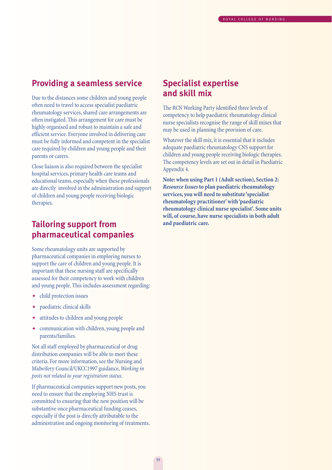## **Providing a seamless service**

Due to the distances some children and young people often need to travel to access specialist paediatric rheumatology services, shared care arrangements are often instigated. This arrangement for care must be highly organised and robust to maintain a safe and efficient service. Everyone involved in delivering care must be fully informed and competent in the specialist care required by children and young people and their parents or carers.

Close liaison is also required between the specialist hospital services, primary health care teams and educational teams, especially when these professionals are directly involved in the administration and support of children and young people receiving biologic therapies.

## **Tailoring support from pharmaceutical companies**

Some rheumatology units are supported by pharmaceutical companies in employing nurses to support the care of children and young people. It is important that these nursing staff are specifically assessed for their competency to work with children and young people. This includes assessment regarding:

- ✦ child protection issues
- ✦ paediatric clinical skills
- ✦ attitudes to children and young people
- ✦ communication with children, young people and parents/families.

Not all staff employed by pharmaceutical or drug distribution companies will be able to meet these criteria. For more information, see the Nursing and Midwifery Council/UKCC1997 guidance,*Working in posts not related to your registration status*.

If pharmaceutical companies support new posts, you need to ensure that the employing NHS trust is committed to ensuring that the new position will be substantive once pharmaceutical funding ceases, especially if the post is directly attributable to the administration and ongoing monitoring of treatments.

## **Specialist expertise and skill mix**

The RCN Working Party identified three levels of competency to help paediatric rheumatology clinical nurse specialists recognise the range of skill mixes that may be used in planning the provision of care.

Whatever the skill mix, it is essential that it includes adequate paediatric rheumatology CNS support for children and young people receiving biologic therapies. The competency levels are set out in detail in Paediatric Appendix 4.

**Note: when using Part 1 (Adult section), Section 2:** *Resource Issues* **to plan paediatric rheumatology services, you will need to substitute 'specialist rheumatology practitioner' with 'paediatric rheumatology clinical nurse specialist'. Some units will, of course, have nurse specialists in both adult and paediatric care.**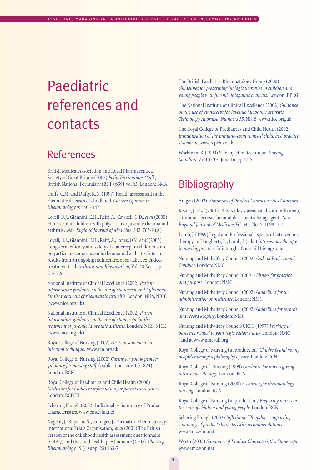# Paediatric references and contacts

ASSESSING, MANAGING AND MONITORING BIOLOGIC THERAPIES FOR INFLAMMATORY ARTHRITIS

# References

British Medical Association and Royal Pharmaceutical Society of Great Britain (2002) *Polio Vaccinations (Salk)* British National Formulary (BNF) p591 vol 43, London: BMA

Duffy, C.M. and Duffy, K.N. (1997) Health assessment in the rheumatic diseases of childhood,*Current Opinion in Rheumatology* 9: 440 - 447

Lovell, D.J., Giannini, E.H., Reiff, A., Cawkell, G.D.,*et al* (2000) Etanercept in children with polyarticular juvenile rheumatoid arthritis, *New England Journal of Medicine*, 342: 763-9 (A)

Lovell, D.J., Giannini, E.H., Reiff, A., Jones, O.Y.,*et al* (2003) Long-term efficacy and safety of etanercept in children with polyarticular-course juvenile rheumatoid arthritis. Interim results from an ongoing multicentre, open-label, extendedtreatment trial,*Arthritis and Rheumatism,*Vol. 48 No 1. pp 218-226

National Institute of Clinical Excellence (2002) *Patient information: guidance on the use of etanercept and Infliximab for the treatment of rheumatoid arthritis*. London: NHS, NICE (www.nice.org.uk)

National Institute of Clinical Excellence (2002) *Patient information: guidance on the use of etanercept for the treatment of juvenile idiopathic arthritis*. London: NHS, NICE (www.nice.org.uk)

Royal College of Nursing (2002) *Position statement on injection technique*. www.rcn.org.uk

Royal College of Nursing (2002) *Caring for young people: guidance for nursing staff.* (publication code: 001 824) London: RCN

Royal College of Paediatrics and Child Health (2000) *Medicines for Children: information for parents and carers*. London: RCPCH

Schering Plough (2002) Infliximab – Summary of Product Characteristics. www.emc.vhn.net

Nugent, J., Ruperto, N., Grainger, J., Paediatric Rheumatology International Trials Organisation, *et al* (2001) The British version of the childhood health assessment questionnaire (CHAQ) and the child health questionnaire (CHQ).*Clin Exp Rheumatology* 19 (4 suppl 23) 163-7

The British Paediatric Rheumatology Group (2000) *Guidelines for prescribing biologic therapies in children and young people with juvenile idiopathic arthritis.* London: BPRG

The National Institute of Clinical Excellence (2002) *Guidance on the use of etanercept for Juvenile idiopathic arthritis. Technology Appraisal Numbers 35*. NICE, www.nice.org.uk

The Royal College of Paediatrics and Child Health (2002) *Immunisation of the immuno-compromised child: best practice statement*, www.rcpch.ac.uk

Workman, B. (1999) Safe injection technique,*Nursing Standard*,Vol 13 (39) June 16, pp 47-53

# Bibliography

Amgen (2002) *Summary of Product Characteristics Anakinra*

Keane, J. *et al* (2001) Tuberculosis associated with Infliximab, a tumour necrosis factor alpha – neutralizing agent. *New England Journal of Medicine*,Vol 345: No15: 1098-104

Lamb, J. (1999) Legal and Professional aspects of intravenous therapy, in Dougherty, L., Lamb, J. (eds.) *Intravenous therapy in nursing practice*. Edinburgh: Churchill Livingstone

Nursing and Midwifery Council (2002) *Code of Professional Conduct*. London: NMC

Nursing and Midwifery Council (2001) *Fitness for practice and purpose*. London: NMC

Nursing and Midwifery Council (2002) *Guidelines for the administration of medicines*. London: NMC

Nursing and Midwifery Council (2002) *Guidelines for records and record keeping*. London: NMC

Nursing and Midwifery Council/UKCC (1997) *Working in posts not related to your registration status* London: NMC (and at www.nmc-uk.org)

Royal College of Nursing (in production) *Children's and young people's nursing: a philosophy of care*. London: RCN

Royal College of Nursing (1999) *Guidance for nurses giving intravenous therapy*. London: RCN

Royal College of Nursing (2000) *A charter for rheumatology nursing*. London: RCN

Royal College of Nursing (in production) *Preparing nurses in the care of children and young people*. London: RCN

Schering Plough (2002) *Infliximab TB update: supporting summary of product characteristics recommendations*. www.emc.vhn.net

Wyeth (2003) *Summary of Product Characteristics Etanercept.* www.emc.vhn.net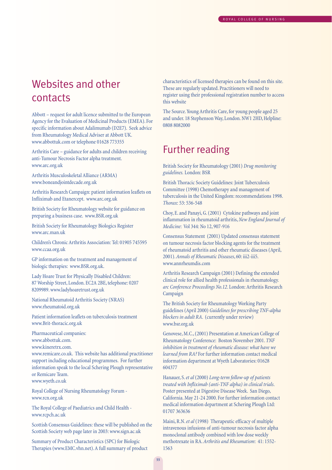# Websites and other contacts

Abbott – request for adult licence submitted to the European Agency for the Evaluation of Medicinal Products (EMEA). For specific information about Adalimumab (D2E7). Seek advice from Rheumatology Medical Adviser at Abbott UK. www.abbottuk.com or telephone 01628 773355

Arthritis Care – guidance for adults and children receiving anti-Tumour Necrosis Factor alpha treatment. www.arc.org.uk

Arthritis Musculoskeletal Alliance (ARMA) www.boneandjointdecade.org.uk

Arthritis Research Campaign: patient information leaflets on Infliximab and Etanercept. www.arc.org.uk

British Society for Rheumatology website for guidance on preparing a business case. www.BSR.org.uk

British Society for Rheumatology Biologics Register www.arc.man.uk

Children's Chronic Arthritis Association: Tel: 01905 745595 www.ccaa.org.uk

GP information on the treatment and management of biologic therapies: www.BSR.org.uk.

Lady Hoare Trust for Physically Disabled Children: 87 Worship Street, London. EC2A 2BE, telephone: 0207 8209989. www.ladyhoaretrust.org.uk

National Rheumatoid Arthritis Society (NRAS) www.rheumatoid.org.uk

Patient information leaflets on tuberculosis treatment www.Brit-thoracic.org.uk

Pharmaceutical companies:

www.abbottuk.com. www.kineretrx.com.

www.remicare.co.uk. This website has additional practitioner support including educational programmes. For further information speak to the local Schering Plough representative or Remicare Team. www.wyeth.co.uk

Royal College of Nursing Rheumatology Forum www.rcn.org.uk

The Royal College of Paediatrics and Child Health www.rcpch.ac.uk

Scottish Consensus Guidelines: these will be published on the Scottish Society web page later in 2003: www.sign.ac.uk

Summary of Product Characteristics (SPC) for Biologic Therapies (www.EMC.vhn.net). A full summary of product characteristics of licensed therapies can be found on this site. These are regularly updated. Practitioners will need to register using their professional registration number to access this website

The Source.Young Arthritis Care, for young people aged 25 and under. 18 Stephenson Way, London. NW1 2HD, Helpline: 0808 8082000

# Further reading

British Society for Rheumatology (2001) *Drug monitoring guidelines.* London: BSR

British Thoracic Society Guidelines: Joint Tuberculosis Committee (1998) Chemotherapy and management of tuberculosis in the United Kingdom: recommendations 1998. *Thorax*: 53: 536-548

Choy, E. and Panayi, G. (2001) Cytokine pathways and joint inflammation in rheumatoid arthritis,*New England Journal of Medicine*: Vol 344: No 12, 907-916

Consensus Statement (2001) Updated consensus statement on tumour necrosis factor blocking agents for the treatment of rheumatoid arthritis and other rheumatic diseases (April, 2001).*Annals of Rheumatic Diseases*, 60: iii2-iii5. www.annrheumdis.com

Arthritis Research Campaign (2001) Defining the extended clinical role for allied health professionals in rheumatology. *arc Conference Proceedings No.12*. London: Arthritis Research Campaign

The British Society for Rheumatology Working Party guidelines (April 2000) *Guidelines for prescribing TNF-alpha blockers in adult RA*. (currently under review) www.bsr.org.uk

Genovese, M.C., (2001) Presentation at American College of Rheumatology Conference: Boston November 2001.*TNF inhibition in treatment of rheumatic disease: what have we learned from RA?* For further information contact medical information department at Wyeth Laboratories: 01628 604377

Hanauer, S.*et al* (2000) *Long-term follow-up of patients treated with Infliximab (anti-TNF alpha) in clinical trials*. Poster presented at Digestive Disease Week. San Diego, California. May 21-24 2000. For further information contact medical information department at Schering Plough Ltd: 01707 363636

Maini, R.N.*et al* (1998) Therapeutic efficacy of multiple intravenous infusions of anti-tumour necrosis factor alpha monoclonal antibody combined with low dose weekly methotrexate in RA.*Arthritis and Rheumatism*: 41: 1552- 1563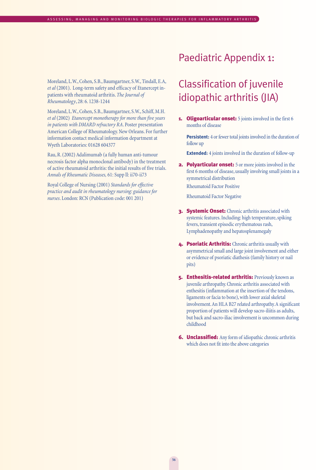# Paediatric Appendix 1:

Moreland, L.W., Cohen, S.B., Baumgartner, S.W., Tindall, E.A, *et al* (2001). Long-term safety and efficacy of Etanercept inpatients with rheumatoid arthritis.*The Journal of Rheumatology*, 28: 6. 1238-1244

Moreland, L.W., Cohen, S.B., Baumgartner, S.W., Schiff, M.H. *et al* (2002) *Etanercept monotherapy for more than five years in patients with DMARD refractory RA*. Poster presentation American College of Rheumatology. New Orleans. For further information contact medical information department at Wyeth Laboratories: 01628 604377

Rau, R. (2002) Adalimumab (a fully human anti-tumour necrosis factor alpha monoclonal antibody) in the treatment of active rheumatoid arthritis: the initial results of five trials. *Annals of Rheumatic Diseases,* 61: Supp ll: ii70-ii73

Royal College of Nursing (2001) *Standards for effective practice and audit in rheumatology nursing: guidance for nurses*. London: RCN (Publication code: 001 201)

# Classification of juvenile idiopathic arthritis (JIA)

**1. Oligoarticular onset:** 5 joints involved in the first 6 months of disease

**Persistent:** 4 or fewer total joints involved in the duration of follow up

**Extended:** 4 joints involved in the duration of follow-up

**2. Polyarticular onset:** 5 or more joints involved in the first 6 months of disease, usually involving small joints in a symmetrical distribution

Rheumatoid Factor Positive

Rheumatoid Factor Negative

- **3. Systemic Onset:** Chronic arthritis associated with systemic features. Including: high temperature, spiking fevers, transient episodic erythematous rash, Lymphadenopathy and hepatosplenamegaly
- 4. Psoriatic Arthritis: Chronic arthritis usually with asymmetrical small and large joint involvement and either or evidence of psoriatic diathesis (family history or nail pits)
- 5. Enthesitis-related arthritis: Previously known as juvenile arthropathy. Chronic arthritis associated with enthesitis (inflammation at the insertion of the tendons, ligaments or facia to bone), with lower axial skeletal involvement.An HLA B27 related arthropathy.A significant proportion of patients will develop sacro-iliitis as adults, but back and sacro-iliac involvement is uncommon during childhood
- **6. Unclassified:** Any form of idiopathic chronic arthritis which does not fit into the above categories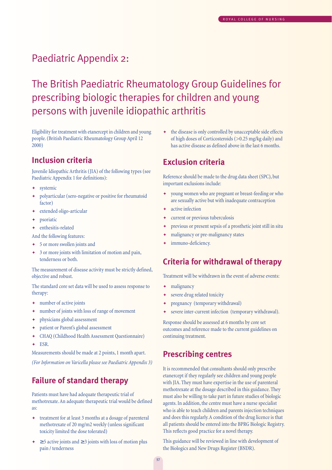# Paediatric Appendix 2:

# The British Paediatric Rheumatology Group Guidelines for prescribing biologic therapies for children and young persons with juvenile idiopathic arthritis

Eligibility for treatment with etanercept in children and young people. (British Paediatric Rheumatology Group April 12 2000)

## **Inclusion criteria**

Juvenile Idiopathic Arthritis (JIA) of the following types (see Paediatric Appendix 1 for definitions):

- ✦ systemic
- ✦ polyarticular (sero-negative or positive for rheumatoid factor)
- extended oligo-articular
- psoriatic
- ✦ enthesitis-related

And the following features:

- ✦ 5 or more swollen joints and
- 3 or more joints with limitation of motion and pain, tenderness or both.

The measurement of disease activity must be strictly defined, objective and robust.

The standard core set data will be used to assess response to therapy:

- ✦ number of active joints
- ✦ number of joints with loss of range of movement
- ✦ physicians global assessment
- ✦ patient or Parent's global assessment
- ✦ CHAQ (Childhood Health Assessment Questionnaire)
- ✦ ESR.

Measurements should be made at 2 points, 1 month apart.

*(For Information on Varicella please see Paediatric Appendix 3)*

## **Failure of standard therapy**

Patients must have had adequate therapeutic trial of methotrexate. An adequate therapeutic trial would be defined as:

- ✦ treatment for at least 3 months at a dosage of parenteral methotrexate of 20 mg/m2 weekly (unless significant toxicity limited the dose tolerated)
- $\triangle$  ≥ 5 active joints and ≥ 3 joints with loss of motion plus pain / tenderness

✦ the disease is only controlled by unacceptable side effects of high doses of Corticosteroids (>0.25 mg/kg daily) and has active disease as defined above in the last 6 months.

## **Exclusion criteria**

Reference should be made to the drug data sheet (SPC), but important exclusions include:

- ✦ young women who are pregnant or breast-feeding or who are sexually active but with inadequate contraception
- ✦ active infection
- current or previous tuberculosis
- previous or present sepsis of a prosthetic joint still in situ
- malignancy or pre-malignancy states
- immuno-deficiency.

## **Criteria for withdrawal of therapy**

Treatment will be withdrawn in the event of adverse events:

- ✦ malignancy
- ✦ severe drug related toxicity
- ✦ pregnancy (temporary withdrawal)
- ✦ severe inter-current infection (temporary withdrawal).

Response should be assessed at 6 months by core set outcomes and reference made to the current guidelines on continuing treatment.

## **Prescribing centres**

It is recommended that consultants should only prescribe etanercept if they regularly see children and young people with JIA. They must have expertise in the use of parenteral methotrexate at the dosage described in this guidance. They must also be willing to take part in future studies of biologic agents. In addition, the centre must have a nurse specialist who is able to teach children and parents injection techniques and does this regularly. A condition of the drug licence is that all patients should be entered into the BPRG Biologic Registry. This reflects good practice for a novel therapy.

This guidance will be reviewed in line with development of the Biologics and New Drugs Register (BNDR).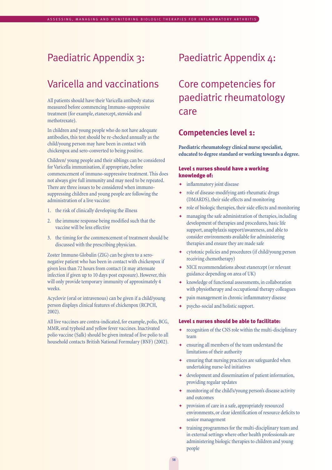# Varicella and vaccinations

All patients should have their Varicella antibody status measured before commencing Immuno-suppressive treatment (for example, etanercept, steroids and methotrexate).

In children and young people who do not have adequate antibodies, this test should be re-checked annually as the child/young person may have been in contact with chickenpox and sero-converted to being positive.

Children/ young people and their siblings can be considered for Varicella immunisation, if appropriate, before commencement of immuno-suppressive treatment. This does not always give full immunity and may need to be repeated. There are three issues to be considered when immunosuppressing children and young people are following the administration of a live vaccine:

- 1. the risk of clinically developing the illness
- 2. the immune response being modified such that the vaccine will be less effective
- 3. the timing for the commencement of treatment should be discussed with the prescribing physician.

Zoster Immuno Globulin (ZIG) can be given to a seronegative patient who has been in contact with chickenpox if given less than 72 hours from contact (it may attenuate infection if given up to 10 days post exposure). However, this will only provide temporary immunity of approximately 4 weeks.

Acyclovir (oral or intravenous) can be given if a child/young person displays clinical features of chickenpox (RCPCH, 2002).

All live vaccines are contra-indicated, for example, polio, BCG, MMR, oral typhoid and yellow fever vaccines. Inactivated polio vaccine (Salk) should be given instead of live polio to all household contacts British National Formulary (BNF) (2002).

# Paediatric Appendix 3: Paediatric Appendix 4:

# Core competencies for paediatric rheumatology care

## **Competencies level 1:**

**Paediatric rheumatology clinical nurse specialist, educated to degree standard or working towards a degree.**

## Level 1 nurses should have a working knowledge of:

- ✦ inflammatory joint disease
- ✦ role of disease-modifying anti-rheumatic drugs (DMARDS), their side effects and monitoring
- role of biologic therapies, their side effects and monitoring
- ✦ managing the safe administration of therapies, including development of therapies and procedures, basic life support, anaphylaxis support/awareness, and able to consider environments available for administering therapies and ensure they are made safe
- ✦ cytotoxic policies and procedures (if child/young person receiving chemotherapy)
- ✦ NICE recommendations about etanercept (or relevant guidance depending on area of UK)
- ✦ knowledge of functional assessments, in collaboration with physiotherapy and occupational therapy colleagues
- ✦ pain management in chronic inflammatory disease
- psycho-social and holistic support.

#### Level 1 nurses should be able to facilitate:

- ✦ recognition of the CNS role within the multi-disciplinary team
- ✦ ensuring all members of the team understand the limitations of their authority
- ✦ ensuring that nursing practices are safeguarded when undertaking nurse-led initiatives
- development and dissemination of patient information, providing regular updates
- ✦ monitoring of the child's/young person's disease activity and outcomes
- provision of care in a safe, appropriately resourced environments, or clear identification of resource deficits to senior management
- ✦ training programmes for the multi-disciplinary team and in external settings where other health professionals are administering biologic therapies to children and young people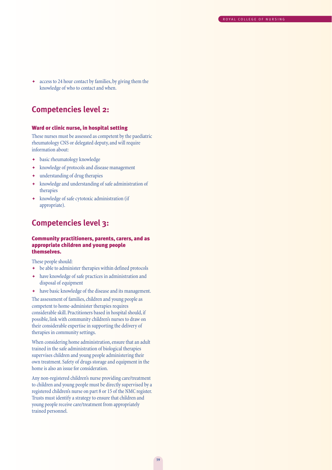✦ access to 24 hour contact by families, by giving them the knowledge of who to contact and when.

## **Competencies level 2:**

#### Ward or clinic nurse, in hospital setting

These nurses must be assessed as competent by the paediatric rheumatology CNS or delegated deputy, and will require information about:

- ✦ basic rheumatology knowledge
- ✦ knowledge of protocols and disease management
- ✦ understanding of drug therapies
- ✦ knowledge and understanding of safe administration of therapies
- ✦ knowledge of safe cytotoxic administration (if appropriate).

## **Competencies level 3:**

## Community practitioners, parents, carers, and as appropriate children and young people themselves.

These people should:

- ✦ be able to administer therapies within defined protocols
- ✦ have knowledge of safe practices in administration and disposal of equipment
- ✦ have basic knowledge of the disease and its management.

The assessment of families, children and young people as competent to home-administer therapies requires considerable skill. Practitioners based in hospital should, if possible, link with community children's nurses to draw on their considerable expertise in supporting the delivery of therapies in community settings.

When considering home administration, ensure that an adult trained in the safe administration of biological therapies supervises children and young people administering their own treatment. Safety of drugs storage and equipment in the home is also an issue for consideration.

Any non-registered children's nurse providing care/treatment to children and young people must be directly supervised by a registered children's nurse on part 8 or 15 of the NMC register. Trusts must identify a strategy to ensure that children and young people receive care/treatment from appropriately trained personnel.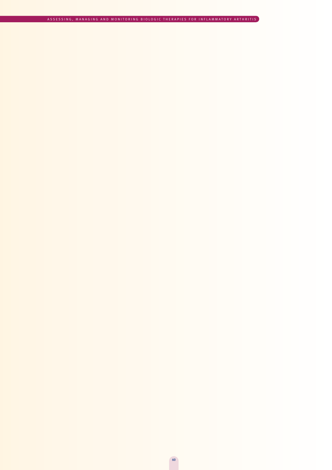ASSESSING, MANAGING AND MONITORING BIOLOGIC THERAPIES FOR INFLAMMATORY ARTHRITIS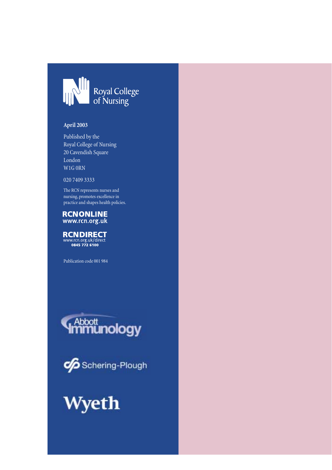

## **April 2003**

Published by the Royal College of Nursing 20 Cavendish Square London W1G 0RN

020 7409 3333

The RCN represents nurses and nursing, promotes excellence in practice and shapes health policies.

## **RCNONLINE** www.rcn.org.uk

**RCNDIRECT** www.rcn.org.uk/direct

Publication code 001 984



Schering-Plough

# Wyeth